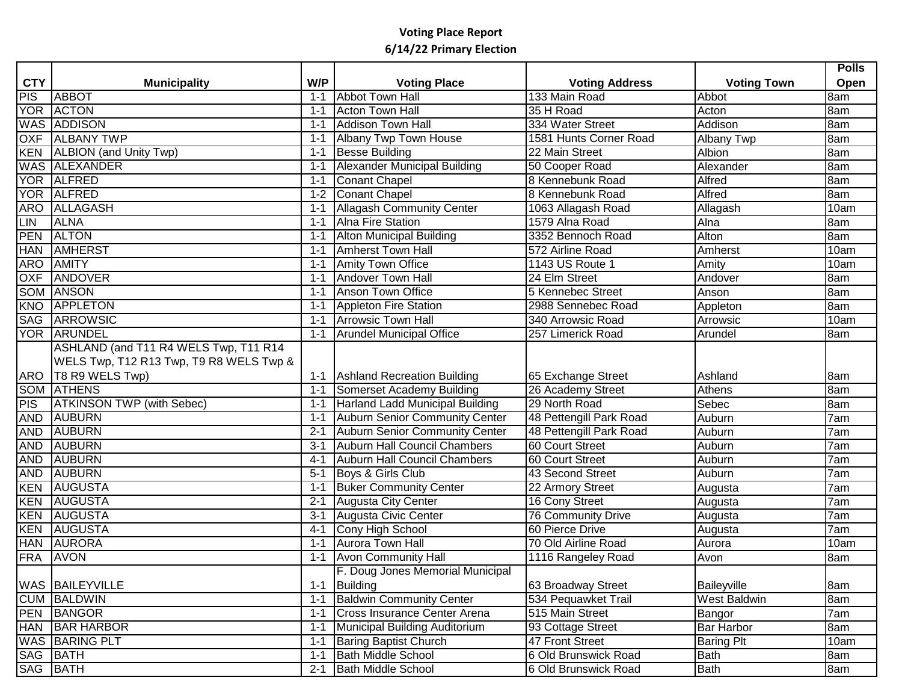|            |                                           |         |                                          |                         |                                                               | <b>Polls</b>       |
|------------|-------------------------------------------|---------|------------------------------------------|-------------------------|---------------------------------------------------------------|--------------------|
| <b>CTY</b> | <b>Municipality</b>                       | W/P     | <b>Voting Place</b>                      | <b>Voting Address</b>   | <b>Voting Town</b>                                            | Open               |
| PIS        | <b>ABBOT</b>                              | $1 - 1$ | <b>Abbot Town Hall</b>                   | 133 Main Road           | Abbot                                                         | 8am                |
|            | YOR ACTON                                 | $1 - 1$ | <b>Acton Town Hall</b>                   | 35 H Road               | Acton                                                         | 8am                |
|            | <b>WAS ADDISON</b>                        | $1 - 1$ | Addison Town Hall                        | 334 Water Street        | Addison                                                       | 8am                |
| <b>OXF</b> | <b>ALBANY TWP</b>                         | $1 - 1$ | Albany Twp Town House                    | 1581 Hunts Corner Road  | Albany Twp                                                    | 8am                |
| <b>KEN</b> | <b>ALBION</b> (and Unity Twp)             | $1 - 1$ | Besse Building                           | 22 Main Street          | Albion                                                        | 8am                |
|            | <b>WAS ALEXANDER</b>                      | $1 - 1$ | <b>Alexander Municipal Building</b>      | 50 Cooper Road          | Alexander                                                     | 8am                |
|            | YOR ALFRED                                | $1 - 1$ | Conant Chapel                            | 8 Kennebunk Road        | Alfred                                                        | 8am                |
|            | YOR ALFRED                                | $1 - 2$ | Conant Chapel                            | 8 Kennebunk Road        | Alfred                                                        | 8am                |
| <b>ARO</b> | <b>ALLAGASH</b>                           | $1 - 1$ | <b>Allagash Community Center</b>         | 1063 Allagash Road      | Allagash                                                      | 10am               |
| <b>LIN</b> | <b>ALNA</b>                               | $1 - 1$ | Alna Fire Station                        | 1579 Alna Road          | Alna                                                          | 8am                |
| <b>PEN</b> | <b>ALTON</b>                              | $1 - 1$ | <b>Alton Municipal Building</b>          | 3352 Bennoch Road       | Alton                                                         | 8am                |
| <b>HAN</b> | <b>AMHERST</b>                            | $1 - 1$ | <b>Amherst Town Hall</b>                 | 572 Airline Road        | Amherst                                                       | $\overline{10}$ am |
| <b>ARO</b> | <b>AMITY</b>                              | $1 - 1$ | <b>Amity Town Office</b>                 | 1143 US Route 1         | Amity                                                         | 10am               |
| <b>OXF</b> | <b>ANDOVER</b>                            | $1 - 1$ | <b>Andover Town Hall</b>                 | 24 Elm Street           | Andover                                                       | 8am                |
| <b>SOM</b> | <b>ANSON</b>                              | $1 - 1$ | <b>Anson Town Office</b>                 | 5 Kennebec Street       | Anson                                                         | 8am                |
| KNO        | APPLETON                                  | $1 - 1$ | Appleton Fire Station                    | 2988 Sennebec Road      | Appleton                                                      | 8am                |
|            | SAG ARROWSIC                              | $1 - 1$ | <b>Arrowsic Town Hall</b>                | 340 Arrowsic Road       | Arrowsic                                                      | 10am               |
|            | YOR ARUNDEL                               | $1 - 1$ | <b>Arundel Municipal Office</b>          | 257 Limerick Road       | Arundel                                                       | 8am                |
|            | ASHLAND (and T11 R4 WELS Twp, T11 R14     |         |                                          |                         |                                                               |                    |
|            | WELS Twp, T12 R13 Twp, T9 R8 WELS Twp &   |         |                                          |                         |                                                               |                    |
| ARO        | T8 R9 WELS Twp)                           |         | 1-1 Ashland Recreation Building          | 65 Exchange Street      | Ashland                                                       | 8am                |
|            | <b>SOM ATHENS</b>                         | $1 - 1$ | Somerset Academy Building                | 26 Academy Street       | <b>Athens</b>                                                 | 8am                |
| <b>PIS</b> | <b>ATKINSON TWP (with Sebec)</b>          | $1 - 1$ | Harland Ladd Municipal Building          | 29 North Road           | Sebec                                                         | 8am                |
| <b>AND</b> | AUBURN                                    | $1 - 1$ | <b>Auburn Senior Community Center</b>    | 48 Pettengill Park Road | Auburn                                                        | 7 <sub>am</sub>    |
| <b>AND</b> | <b>AUBURN</b>                             | $2 - 1$ | Auburn Senior Community Center           | 48 Pettengill Park Road | Auburn                                                        | 7am                |
| <b>AND</b> | <b>AUBURN</b>                             | $3 - 1$ | Auburn Hall Council Chambers             | 60 Court Street         | Auburn                                                        | 7am                |
| <b>AND</b> | <b>AUBURN</b>                             | $4 - 1$ | Auburn Hall Council Chambers             | 60 Court Street         | Auburn                                                        | 7am                |
| AND        | <b>AUBURN</b>                             | $5 - 1$ | Boys & Girls Club                        | 43 Second Street        | Auburn                                                        | 7am                |
| <b>KEN</b> | <b>AUGUSTA</b>                            | $1 - 1$ | <b>Buker Community Center</b>            | 22 Armory Street        |                                                               | 7am                |
| <b>KEN</b> | <b>AUGUSTA</b>                            | $2 - 1$ | Augusta City Center                      | 16 Cony Street          | Augusta                                                       | 7am                |
| <b>KEN</b> | AUGUSTA                                   | $3 - 1$ | Augusta Civic Center                     | 76 Community Drive      | Augusta                                                       | 7am                |
| <b>KEN</b> | <b>AUGUSTA</b>                            | $4 - 1$ | Cony High School                         | 60 Pierce Drive         | Augusta                                                       | 7am                |
| <b>HAN</b> | <b>AURORA</b>                             | $1 - 1$ | <b>Aurora Town Hall</b>                  | 70 Old Airline Road     | Aurora                                                        | 10am               |
| <b>FRA</b> | <b>AVON</b>                               | $1 - 1$ | <b>Avon Community Hall</b>               | 1116 Rangeley Road      | Avon                                                          | 8am                |
|            |                                           |         | F. Doug Jones Memorial Municipal         |                         |                                                               |                    |
|            |                                           | $1 - 1$ |                                          |                         |                                                               | 8am                |
|            | <b>CUM BALDWIN</b>                        | $1 - 1$ | <b>Baldwin Community Center</b>          | 534 Pequawket Trail     | <b>West Baldwin</b>                                           | 8am                |
|            | <b>PEN BANGOR</b>                         | $1 - 1$ | Cross Insurance Center Arena             | 515 Main Street         |                                                               | 7am                |
|            | <b>HAN BAR HARBOR</b>                     | $1 - 1$ | Municipal Building Auditorium            | 93 Cottage Street       | <b>Bar Harbor</b>                                             | 8am                |
|            | <b>WAS BARING PLT</b>                     | $1 - 1$ |                                          | 47 Front Street         |                                                               | 10am               |
|            |                                           | $1 - 1$ | <b>Bath Middle School</b>                | 6 Old Brunswick Road    | Bath                                                          | 8am                |
|            |                                           | $2 - 1$ | <b>Bath Middle School</b>                | 6 Old Brunswick Road    |                                                               |                    |
|            | WAS   BAILEYVILLE<br>SAG BATH<br>SAG BATH |         | Building<br><b>Baring Baptist Church</b> | 63 Broadway Street      | Augusta<br>Baileyville<br>Bangor<br><b>Baring Plt</b><br>Bath | 8am                |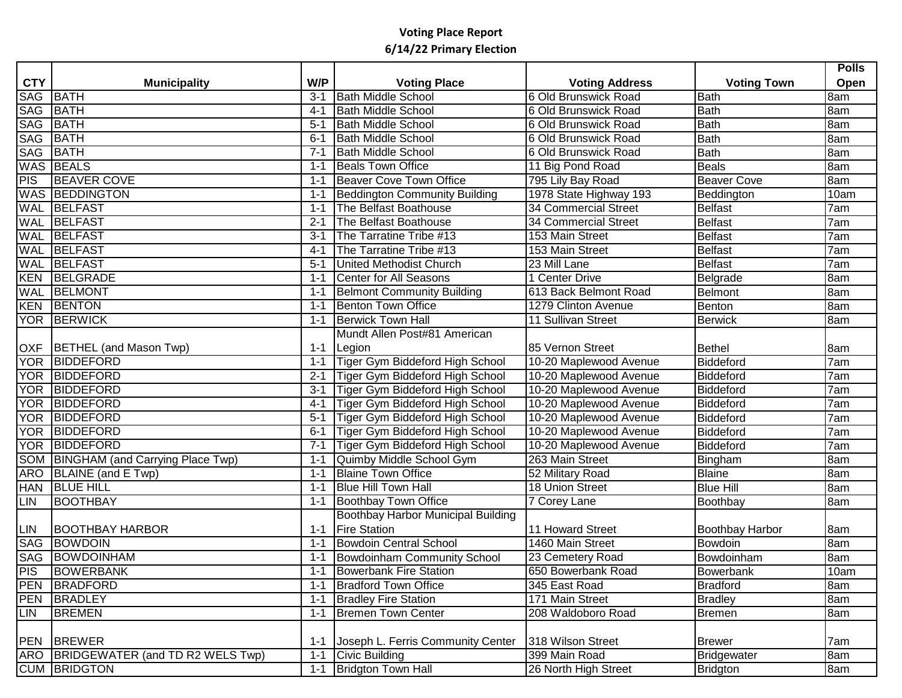|            |                                      |         |                                           |                             |                        | <b>Polls</b> |
|------------|--------------------------------------|---------|-------------------------------------------|-----------------------------|------------------------|--------------|
| <b>CTY</b> | <b>Municipality</b>                  | W/P     | <b>Voting Place</b>                       | <b>Voting Address</b>       | <b>Voting Town</b>     | <b>Open</b>  |
| SAG BATH   |                                      | $3 - 1$ | <b>Bath Middle School</b>                 | 6 Old Brunswick Road        | <b>Bath</b>            | 8am          |
| SAG BATH   |                                      | $4 - 1$ | <b>Bath Middle School</b>                 | 6 Old Brunswick Road        | <b>Bath</b>            | 8am          |
| <b>SAG</b> | BATH                                 | $5 - 1$ | <b>Bath Middle School</b>                 | 6 Old Brunswick Road        | <b>Bath</b>            | 8am          |
| <b>SAG</b> | BATH                                 | $6 - 1$ | <b>Bath Middle School</b>                 | 6 Old Brunswick Road        | <b>Bath</b>            | 8am          |
| <b>SAG</b> | BATH                                 | $7 - 1$ | <b>Bath Middle School</b>                 | 6 Old Brunswick Road        | <b>Bath</b>            | 8am          |
|            | <b>WAS BEALS</b>                     | 1-1     | <b>Beals Town Office</b>                  | 11 Big Pond Road            | <b>Beals</b>           | 8am          |
| PIS        | <b>BEAVER COVE</b>                   | 1-1     | Beaver Cove Town Office                   | 795 Lily Bay Road           | <b>Beaver Cove</b>     | 8am          |
|            | <b>WAS BEDDINGTON</b>                | 1-1     | <b>Beddington Community Building</b>      | 1978 State Highway 193      | Beddington             | 10am         |
|            | <b>WAL BELFAST</b>                   | 1-1     | The Belfast Boathouse                     | <b>34 Commercial Street</b> | <b>Belfast</b>         | 7am          |
| <b>WAL</b> | BELFAST                              | $2 - 1$ | The Belfast Boathouse                     | 34 Commercial Street        | <b>Belfast</b>         | 7am          |
|            | <b>WAL BELFAST</b>                   | $3 - 1$ | The Tarratine Tribe #13                   | 153 Main Street             | <b>Belfast</b>         | 7am          |
|            | <b>WAL BELFAST</b>                   | $4 - 1$ | The Tarratine Tribe #13                   | 153 Main Street             | <b>Belfast</b>         | 7am          |
|            | <b>WAL BELFAST</b>                   | $5 - 1$ | <b>United Methodist Church</b>            | 23 Mill Lane                | <b>Belfast</b>         | 7am          |
|            | KEN BELGRADE                         | $1 - 1$ | Center for All Seasons                    | 1 Center Drive              | Belgrade               | 8am          |
|            | <b>WAL BELMONT</b>                   | $1 - 1$ | <b>Belmont Community Building</b>         | 613 Back Belmont Road       | Belmont                | 8am          |
|            | <b>KEN BENTON</b>                    | $1 - 1$ | <b>Benton Town Office</b>                 | 1279 Clinton Avenue         | Benton                 | 8am          |
|            | <b>YOR BERWICK</b>                   | $1 - 1$ | <b>Berwick Town Hall</b>                  | 11 Sullivan Street          | <b>Berwick</b>         | 8am          |
|            |                                      |         | Mundt Allen Post#81 American              |                             |                        |              |
|            | OXF BETHEL (and Mason Twp)           | $1 - 1$ | Legion                                    | 85 Vernon Street            | <b>Bethel</b>          | 8am          |
|            | YOR BIDDEFORD                        | $1 - 1$ | Tiger Gym Biddeford High School           | 10-20 Maplewood Avenue      | Biddeford              | 7am          |
|            | YOR BIDDEFORD                        | $2 - 1$ | Tiger Gym Biddeford High School           | 10-20 Maplewood Avenue      | Biddeford              | 7am          |
|            | YOR BIDDEFORD                        | $3 - 1$ | Tiger Gym Biddeford High School           | 10-20 Maplewood Avenue      | Biddeford              | 7am          |
|            | YOR BIDDEFORD                        | $4 - 1$ | Tiger Gym Biddeford High School           | 10-20 Maplewood Avenue      | Biddeford              | 7am          |
|            | YOR BIDDEFORD                        | $5 - 1$ | Tiger Gym Biddeford High School           | 10-20 Maplewood Avenue      | Biddeford              | 7am          |
|            | YOR BIDDEFORD                        | $6 - 1$ | Tiger Gym Biddeford High School           | 10-20 Maplewood Avenue      | Biddeford              | 7am          |
|            | YOR BIDDEFORD                        | $7 - 1$ | Tiger Gym Biddeford High School           | 10-20 Maplewood Avenue      | Biddeford              | 7am          |
|            | SOM BINGHAM (and Carrying Place Twp) | $1 - 1$ | Quimby Middle School Gym                  | 263 Main Street             | Bingham                | 8am          |
| <b>ARO</b> | BLAINE (and E Twp)                   | $1 - 1$ | <b>Blaine Town Office</b>                 | 52 Military Road            | <b>Blaine</b>          | 8am          |
|            | HAN   BLUE HILL                      | 1-1     | <b>Blue Hill Town Hall</b>                | 18 Union Street             | <b>Blue Hill</b>       | 8am          |
| <b>LIN</b> | BOOTHBAY                             | 1-1     | <b>Boothbay Town Office</b>               | 7 Corey Lane                | Boothbay               | 8am          |
|            |                                      |         | <b>Boothbay Harbor Municipal Building</b> |                             |                        |              |
| LIN        | <b>BOOTHBAY HARBOR</b>               | 1-1     | <b>Fire Station</b>                       | 11 Howard Street            | <b>Boothbay Harbor</b> | 8am          |
|            | SAG BOWDOIN                          | $1 - 1$ | <b>Bowdoin Central School</b>             | 1460 Main Street            | Bowdoin                | 8am          |
|            | <b>SAG BOWDOINHAM</b>                | $1 - 1$ | Bowdoinham Community School               | 23 Cemetery Road            | Bowdoinham             | 8am          |
| <b>PIS</b> | BOWERBANK                            | $1 - 1$ | <b>Bowerbank Fire Station</b>             | 1650 Bowerbank Road         | Bowerbank              | 10am         |
|            | PEN BRADFORD                         | $1 - 1$ | <b>Bradford Town Office</b>               | 345 East Road               | <b>Bradford</b>        | 8am          |
|            | PEN BRADLEY                          | $1 - 1$ | <b>Bradley Fire Station</b>               | 171 Main Street             | <b>Bradley</b>         | 8am          |
|            | LIN BREMEN                           | $1 - 1$ | <b>Bremen Town Center</b>                 | 208 Waldoboro Road          | <b>Bremen</b>          | 8am          |
|            |                                      |         |                                           |                             |                        |              |
|            | PEN BREWER                           | $1 - 1$ | Joseph L. Ferris Community Center         | 318 Wilson Street           | <b>Brewer</b>          | 7am          |
|            | ARO BRIDGEWATER (and TD R2 WELS Twp) | $1 - 1$ | Civic Building                            | 399 Main Road               | Bridgewater            | 8am          |
|            | <b>CUM BRIDGTON</b>                  |         | 1-1 Bridgton Town Hall                    | 26 North High Street        | Bridgton               | 8am          |
|            |                                      |         |                                           |                             |                        |              |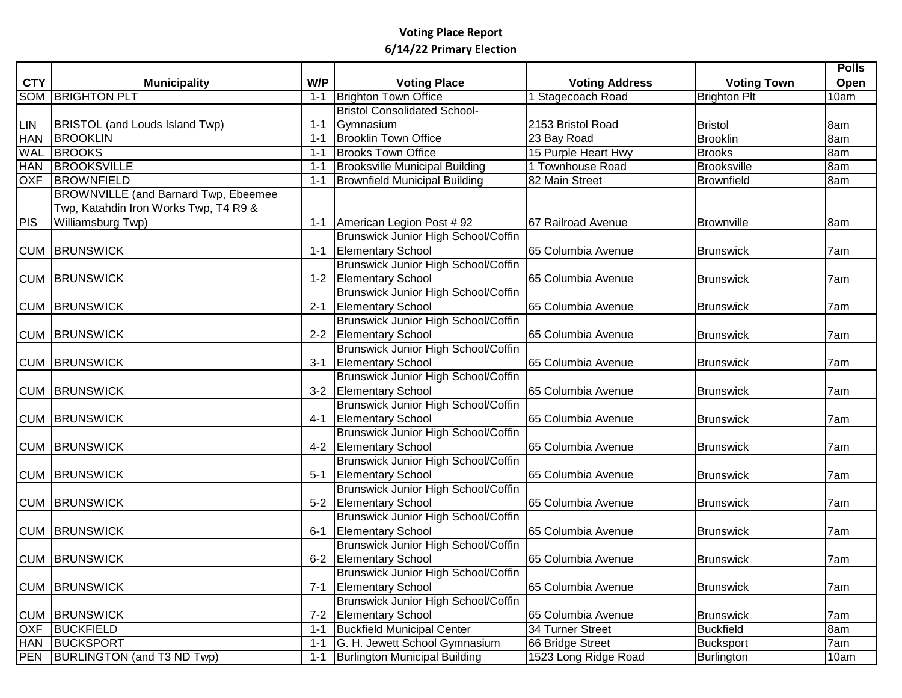|            |                                             |         |                                            |                       |                     | <b>Polls</b> |
|------------|---------------------------------------------|---------|--------------------------------------------|-----------------------|---------------------|--------------|
| <b>CTY</b> | <b>Municipality</b>                         | W/P     | <b>Voting Place</b>                        | <b>Voting Address</b> | <b>Voting Town</b>  | Open         |
|            | <b>SOM BRIGHTON PLT</b>                     | $1 - 1$ | <b>Brighton Town Office</b>                | Stagecoach Road       | <b>Brighton Plt</b> | 10am         |
|            |                                             |         | <b>Bristol Consolidated School-</b>        |                       |                     |              |
| LIN        | BRISTOL (and Louds Island Twp)              | $1 - 1$ | Gymnasium                                  | 2153 Bristol Road     | <b>Bristol</b>      | 8am          |
| <b>HAN</b> | <b>BROOKLIN</b>                             | $1 - 1$ | <b>Brooklin Town Office</b>                | 23 Bay Road           | <b>Brooklin</b>     | 8am          |
| <b>WAL</b> | <b>BROOKS</b>                               | $1 - 1$ | <b>Brooks Town Office</b>                  | 15 Purple Heart Hwy   | <b>Brooks</b>       | 8am          |
| <b>HAN</b> | <b>BROOKSVILLE</b>                          | $1 - 1$ | <b>Brooksville Municipal Building</b>      | 1 Townhouse Road      | <b>Brooksville</b>  | 8am          |
|            | <b>OXF BROWNFIELD</b>                       | $1 - 1$ | <b>Brownfield Municipal Building</b>       | 82 Main Street        | <b>Brownfield</b>   | 8am          |
|            | <b>BROWNVILLE (and Barnard Twp, Ebeemee</b> |         |                                            |                       |                     |              |
|            | Twp, Katahdin Iron Works Twp, T4 R9 &       |         |                                            |                       |                     |              |
| <b>PIS</b> | Williamsburg Twp)                           |         | 1-1   American Legion Post #92             | 67 Railroad Avenue    | <b>Brownville</b>   | 8am          |
|            |                                             |         | Brunswick Junior High School/Coffin        |                       |                     |              |
|            | <b>CUM BRUNSWICK</b>                        | $1 - 1$ | <b>Elementary School</b>                   | 65 Columbia Avenue    | <b>Brunswick</b>    | 7am          |
|            |                                             |         | Brunswick Junior High School/Coffin        |                       |                     |              |
|            | <b>CUM BRUNSWICK</b>                        |         | 1-2 Elementary School                      | 65 Columbia Avenue    | <b>Brunswick</b>    | 7am          |
|            |                                             |         | Brunswick Junior High School/Coffin        |                       |                     |              |
|            | <b>CUM BRUNSWICK</b>                        |         | 2-1 Elementary School                      | 65 Columbia Avenue    | <b>Brunswick</b>    | 7am          |
|            |                                             |         | Brunswick Junior High School/Coffin        |                       |                     |              |
|            | <b>CUM BRUNSWICK</b>                        | $2 - 2$ | <b>Elementary School</b>                   | 65 Columbia Avenue    | <b>Brunswick</b>    | 7am          |
|            |                                             |         | Brunswick Junior High School/Coffin        |                       |                     |              |
|            | <b>CUM BRUNSWICK</b>                        | $3 - 1$ | <b>Elementary School</b>                   | 65 Columbia Avenue    | <b>Brunswick</b>    | 7am          |
|            |                                             |         | Brunswick Junior High School/Coffin        |                       |                     |              |
|            | <b>CUM BRUNSWICK</b>                        | $3 - 2$ | <b>Elementary School</b>                   | 65 Columbia Avenue    | <b>Brunswick</b>    | 7am          |
|            |                                             |         | <b>Brunswick Junior High School/Coffin</b> |                       |                     |              |
|            | <b>CUM BRUNSWICK</b>                        | $4 - 1$ | <b>Elementary School</b>                   | 65 Columbia Avenue    | <b>Brunswick</b>    | 7am          |
|            |                                             |         | <b>Brunswick Junior High School/Coffin</b> |                       |                     |              |
|            | <b>CUM BRUNSWICK</b>                        | $4 - 2$ | <b>Elementary School</b>                   | 65 Columbia Avenue    | <b>Brunswick</b>    | 7am          |
|            |                                             |         | Brunswick Junior High School/Coffin        |                       |                     |              |
|            | <b>CUM BRUNSWICK</b>                        | $5 - 1$ | <b>Elementary School</b>                   | 65 Columbia Avenue    | <b>Brunswick</b>    | 7am          |
|            |                                             |         | Brunswick Junior High School/Coffin        |                       |                     |              |
|            | <b>CUM BRUNSWICK</b>                        | $5-2$   | <b>Elementary School</b>                   | 65 Columbia Avenue    | <b>Brunswick</b>    | 7am          |
|            |                                             |         | Brunswick Junior High School/Coffin        |                       |                     |              |
|            | <b>CUM BRUNSWICK</b>                        | $6 - 1$ | <b>Elementary School</b>                   | 65 Columbia Avenue    | <b>Brunswick</b>    | 7am          |
|            |                                             |         | Brunswick Junior High School/Coffin        |                       |                     |              |
|            | <b>CUM BRUNSWICK</b>                        |         | 6-2 Elementary School                      | 65 Columbia Avenue    | <b>Brunswick</b>    | 7am          |
|            |                                             |         | Brunswick Junior High School/Coffin        |                       |                     |              |
|            | <b>CUM BRUNSWICK</b>                        |         | 7-1 Elementary School                      | 65 Columbia Avenue    | <b>Brunswick</b>    | 7am          |
|            |                                             |         | Brunswick Junior High School/Coffin        |                       |                     |              |
|            | <b>CUM BRUNSWICK</b>                        | $7 - 2$ | <b>Elementary School</b>                   | 65 Columbia Avenue    | <b>Brunswick</b>    | 7am          |
|            | OXF BUCKFIELD                               | $1 - 1$ | <b>Buckfield Municipal Center</b>          | 34 Turner Street      | <b>Buckfield</b>    | 8am          |
|            | HAN BUCKSPORT                               | $1 - 1$ | G. H. Jewett School Gymnasium              | 66 Bridge Street      | <b>Bucksport</b>    | 7am          |
|            | PEN BURLINGTON (and T3 ND Twp)              | $1 - 1$ | Burlington Municipal Building              | 1523 Long Ridge Road  | <b>Burlington</b>   | 10am         |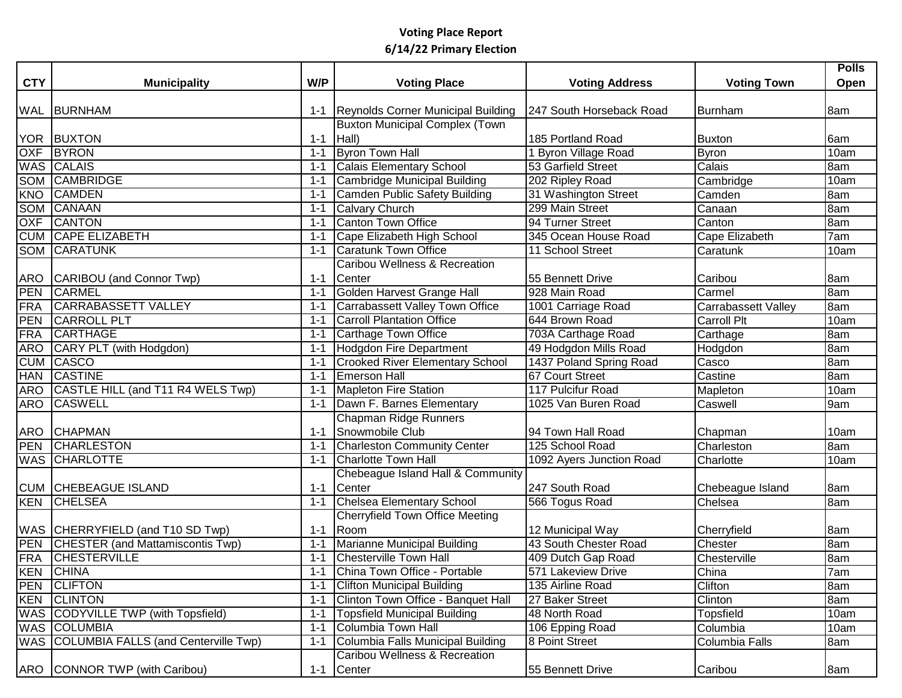|            |                                          |         |                                        |                          |                            | <b>Polls</b> |
|------------|------------------------------------------|---------|----------------------------------------|--------------------------|----------------------------|--------------|
| <b>CTY</b> | <b>Municipality</b>                      | W/P     | <b>Voting Place</b>                    | <b>Voting Address</b>    | <b>Voting Town</b>         | Open         |
|            |                                          |         |                                        |                          |                            |              |
|            | <b>WAL BURNHAM</b>                       | $1 - 1$ | Reynolds Corner Municipal Building     | 247 South Horseback Road | <b>Burnham</b>             | 8am          |
|            |                                          |         | <b>Buxton Municipal Complex (Town</b>  |                          |                            |              |
|            | <b>YOR BUXTON</b>                        | $1 - 1$ | $ Hall\rangle$                         | 185 Portland Road        | <b>Buxton</b>              | 6am          |
|            | <b>OXF BYRON</b>                         | 1-1     | Byron Town Hall                        | 1 Byron Village Road     | <b>Byron</b>               | 10am         |
|            | WAS CALAIS                               | 1-1     | Calais Elementary School               | 53 Garfield Street       | Calais                     | 8am          |
|            | SOM CAMBRIDGE                            | $1 - 1$ | Cambridge Municipal Building           | 202 Ripley Road          | Cambridge                  | 10am         |
| <b>KNO</b> | <b>CAMDEN</b>                            | $1 - 1$ | Camden Public Safety Building          | 31 Washington Street     | Camden                     | 8am          |
|            | SOM CANAAN                               | $1 - 1$ | Calvary Church                         | 299 Main Street          | Canaan                     | 8am          |
| <b>OXF</b> | <b>CANTON</b>                            | $1 - 1$ | <b>Canton Town Office</b>              | 94 Turner Street         | Canton                     | 8am          |
|            | <b>CUM CAPE ELIZABETH</b>                | $1 - 1$ | Cape Elizabeth High School             | 345 Ocean House Road     | Cape Elizabeth             | 7am          |
|            | <b>SOM CARATUNK</b>                      | $1 - 1$ | <b>Caratunk Town Office</b>            | 11 School Street         | Caratunk                   | 10am         |
|            |                                          |         | Caribou Wellness & Recreation          |                          |                            |              |
|            | ARO CARIBOU (and Connor Twp)             | $1 - 1$ | Center                                 | 55 Bennett Drive         | Caribou                    | 8am          |
| PEN        | CARMEL                                   | $1 - 1$ | Golden Harvest Grange Hall             | 928 Main Road            | Carmel                     | 8am          |
| <b>FRA</b> | <b>CARRABASSETT VALLEY</b>               | $1 - 1$ | Carrabassett Valley Town Office        | 1001 Carriage Road       | <b>Carrabassett Valley</b> | 8am          |
| PEN        | <b>CARROLL PLT</b>                       | $1 - 1$ | <b>Carroll Plantation Office</b>       | 644 Brown Road           | <b>Carroll Plt</b>         | 10am         |
| FRA        | <b>CARTHAGE</b>                          | $1 - 1$ | Carthage Town Office                   | 703A Carthage Road       | Carthage                   | 8am          |
| <b>ARO</b> | CARY PLT (with Hodgdon)                  | $1 - 1$ | Hodgdon Fire Department                | 49 Hodgdon Mills Road    | Hodgdon                    | 8am          |
| <b>CUM</b> | <b>CASCO</b>                             | $1 - 1$ | <b>Crooked River Elementary School</b> | 1437 Poland Spring Road  | Casco                      | 8am          |
| <b>HAN</b> | <b>CASTINE</b>                           | $1 - 1$ | <b>Emerson Hall</b>                    | <b>67 Court Street</b>   | Castine                    | 8am          |
|            | ARO CASTLE HILL (and T11 R4 WELS Twp)    | $1 - 1$ | <b>Mapleton Fire Station</b>           | 117 Pulcifur Road        | Mapleton                   | 10am         |
| <b>ARO</b> | <b>CASWELL</b>                           | $1 - 1$ | Dawn F. Barnes Elementary              | 1025 Van Buren Road      | Caswell                    | 9am          |
|            |                                          |         | Chapman Ridge Runners                  |                          |                            |              |
|            | ARO CHAPMAN                              | $1 - 1$ | Snowmobile Club                        | 94 Town Hall Road        | Chapman                    | 10am         |
| PEN        | <b>CHARLESTON</b>                        | $1 - 1$ | <b>Charleston Community Center</b>     | 125 School Road          | Charleston                 | 8am          |
|            | <b>WAS CHARLOTTE</b>                     | $1 - 1$ | Charlotte Town Hall                    | 1092 Ayers Junction Road | Charlotte                  | 10am         |
|            |                                          |         | Chebeague Island Hall & Community      |                          |                            |              |
|            | <b>CUM CHEBEAGUE ISLAND</b>              | $1 - 1$ | Center                                 | 247 South Road           | Chebeague Island           | 8am          |
|            | <b>KEN CHELSEA</b>                       | $1 - 1$ | Chelsea Elementary School              | 566 Togus Road           | Chelsea                    | 8am          |
|            |                                          |         | Cherryfield Town Office Meeting        |                          |                            |              |
|            | WAS CHERRYFIELD (and T10 SD Twp)         | $1 - 1$ | Room                                   | 12 Municipal Way         | Cherryfield                | 8am          |
|            | PEN CHESTER (and Mattamiscontis Twp)     | $1 - 1$ | Marianne Municipal Building            | 43 South Chester Road    | Chester                    | 8am          |
|            | <b>FRA CHESTERVILLE</b>                  | $1 - 1$ | <b>Chesterville Town Hall</b>          | 409 Dutch Gap Road       | Chesterville               | 8am          |
|            | <b>KEN CHINA</b>                         |         | 1-1 China Town Office - Portable       | 571 Lakeview Drive       | China                      | 7am          |
|            | PEN CLIFTON                              | $1 - 1$ | <b>Clifton Municipal Building</b>      | 135 Airline Road         | Clifton                    | 8am          |
|            | <b>KEN CLINTON</b>                       | $1 - 1$ | Clinton Town Office - Banquet Hall     | 27 Baker Street          | Clinton                    | 8am          |
|            | WAS CODYVILLE TWP (with Topsfield)       | $1 - 1$ | Topsfield Municipal Building           | 48 North Road            | Topsfield                  | 10am         |
|            | <b>WAS COLUMBIA</b>                      | $1 - 1$ | Columbia Town Hall                     | 106 Epping Road          | Columbia                   | 10am         |
|            | WAS COLUMBIA FALLS (and Centerville Twp) | $1 - 1$ | Columbia Falls Municipal Building      | 8 Point Street           | <b>Columbia Falls</b>      | 8am          |
|            |                                          |         | Caribou Wellness & Recreation          |                          |                            |              |
|            | <b>ARO</b> CONNOR TWP (with Caribou)     |         | 1-1 Center                             | 55 Bennett Drive         |                            |              |
|            |                                          |         |                                        |                          | Caribou                    | 8am          |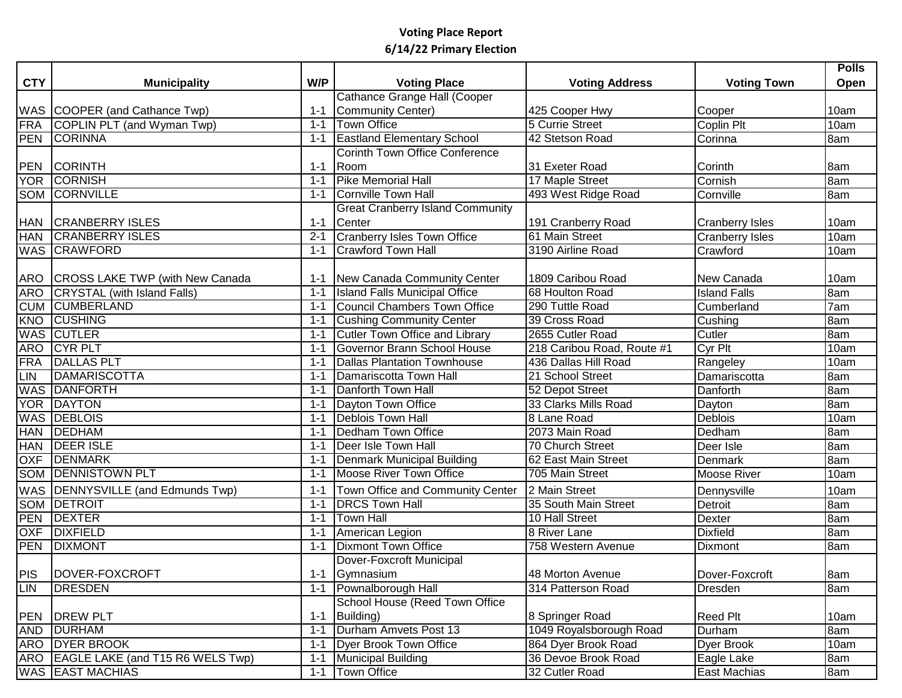|            |                                      |         |                                         |                            |                        | <b>Polls</b> |
|------------|--------------------------------------|---------|-----------------------------------------|----------------------------|------------------------|--------------|
| <b>CTY</b> | <b>Municipality</b>                  | W/P     | <b>Voting Place</b>                     | <b>Voting Address</b>      | <b>Voting Town</b>     | Open         |
|            |                                      |         | Cathance Grange Hall (Cooper            |                            |                        |              |
|            | WAS COOPER (and Cathance Twp)        | $1 - 1$ | Community Center)                       | 425 Cooper Hwy             | Cooper                 | 10am         |
|            | FRA COPLIN PLT (and Wyman Twp)       | $1 - 1$ | <b>Town Office</b>                      | 5 Currie Street            | Coplin Plt             | 10am         |
|            | PEN CORINNA                          | $1 - 1$ | <b>Eastland Elementary School</b>       | 42 Stetson Road            | Corinna                | 8am          |
|            |                                      |         | Corinth Town Office Conference          |                            |                        |              |
|            | PEN CORINTH                          | $1 - 1$ | Room                                    | 31 Exeter Road             | <b>Corinth</b>         | 8am          |
|            | YOR CORNISH                          | $1 - 1$ | <b>Pike Memorial Hall</b>               | 17 Maple Street            | Cornish                | 8am          |
|            | <b>SOM CORNVILLE</b>                 | $1 - 1$ | Cornville Town Hall                     | 493 West Ridge Road        | Cornville              | 8am          |
|            |                                      |         | <b>Great Cranberry Island Community</b> |                            |                        |              |
|            | HAN CRANBERRY ISLES                  | $1 - 1$ | Center                                  | 191 Cranberry Road         | <b>Cranberry Isles</b> | 10am         |
|            | HAN CRANBERRY ISLES                  | $2 - 1$ | Cranberry Isles Town Office             | 61 Main Street             | <b>Cranberry Isles</b> | 10am         |
|            | WAS CRAWFORD                         | $1 - 1$ | <b>Crawford Town Hall</b>               | 3190 Airline Road          | Crawford               | 10am         |
|            |                                      |         |                                         |                            |                        |              |
| ARO        | CROSS LAKE TWP (with New Canada      |         | 1-1 New Canada Community Center         | 1809 Caribou Road          | New Canada             | 10am         |
| <b>ARO</b> | CRYSTAL (with Island Falls)          | $1 - 1$ | <b>Island Falls Municipal Office</b>    | 68 Houlton Road            | <b>Island Falls</b>    | 8am          |
|            | <b>CUM CUMBERLAND</b>                | $1 - 1$ | Council Chambers Town Office            | 290 Tuttle Road            | Cumberland             | 7am          |
|            | <b>KNO CUSHING</b>                   | $1 - 1$ | <b>Cushing Community Center</b>         | 39 Cross Road              | Cushing                | 8am          |
|            | <b>WAS CUTLER</b>                    | $1 - 1$ | Cutler Town Office and Library          | 2655 Cutler Road           | Cutler                 | 8am          |
|            | ARO CYR PLT                          | $1 - 1$ | Governor Brann School House             | 218 Caribou Road, Route #1 | Cyr Plt                | 10am         |
| <b>FRA</b> | <b>DALLAS PLT</b>                    | $1 - 1$ | Dallas Plantation Townhouse             | 436 Dallas Hill Road       | Rangeley               | 10am         |
| LIN        | DAMARISCOTTA                         | $1 - 1$ | Damariscotta Town Hall                  | 21 School Street           | Damariscotta           | 8am          |
|            | <b>WAS DANFORTH</b>                  | $1 - 1$ | Danforth Town Hall                      | 52 Depot Street            | Danforth               | 8am          |
| <b>YOR</b> | DAYTON                               | $1 - 1$ | Dayton Town Office                      | 33 Clarks Mills Road       | Dayton                 | 8am          |
|            | <b>WAS DEBLOIS</b>                   | $1 - 1$ | Deblois Town Hall                       | 8 Lane Road                | <b>Deblois</b>         | 10am         |
| <b>HAN</b> | DEDHAM                               | 1-1     | Dedham Town Office                      | 2073 Main Road             | Dedham                 | 8am          |
| <b>HAN</b> | <b>DEER ISLE</b>                     | $1 - 1$ | Deer Isle Town Hall                     | 70 Church Street           | Deer Isle              | 8am          |
| <b>OXF</b> | DENMARK                              | $1 - 1$ | Denmark Municipal Building              | 62 East Main Street        | Denmark                | 8am          |
|            | <b>SOM DENNISTOWN PLT</b>            | $1 - 1$ | Moose River Town Office                 | 705 Main Street            | <b>Moose River</b>     | 10am         |
|            | WAS  DENNYSVILLE (and Edmunds Twp)   | $1 - 1$ | Town Office and Community Center        | 2 Main Street              | Dennysville            | 10am         |
|            | <b>SOM DETROIT</b>                   | $1 - 1$ | <b>DRCS Town Hall</b>                   | 35 South Main Street       | Detroit                | 8am          |
| <b>PEN</b> | <b>DEXTER</b>                        | $1 - 1$ | <b>Town Hall</b>                        | 10 Hall Street             | <b>Dexter</b>          | 8am          |
| OXF        | <b>DIXFIELD</b>                      | $1 - 1$ | American Legion                         | 8 River Lane               | <b>Dixfield</b>        | 8am          |
|            | PEN DIXMONT                          | $1 - 1$ | Dixmont Town Office                     | 758 Western Avenue         | <b>Dixmont</b>         | 8am          |
|            |                                      |         | Dover-Foxcroft Municipal                |                            |                        |              |
|            | PIS  DOVER-FOXCROFT                  |         | 1-1 Gymnasium                           | 48 Morton Avenue           | Dover-Foxcroft         | 8am          |
| <b>LIN</b> | DRESDEN                              | $1 - 1$ | Pownalborough Hall                      | 314 Patterson Road         | Dresden                | 8am          |
|            |                                      |         | School House (Reed Town Office          |                            |                        |              |
|            | PEN DREW PLT                         | $1 - 1$ | Building)                               | 8 Springer Road            | <b>Reed Plt</b>        | 10am         |
|            | AND <b>DURHAM</b>                    | $1 - 1$ | Durham Amvets Post 13                   | 1049 Royalsborough Road    | Durham                 | 8am          |
|            | <b>ARO DYER BROOK</b>                | $1 - 1$ | Dyer Brook Town Office                  | 864 Dyer Brook Road        | Dyer Brook             | 10am         |
|            | ARO EAGLE LAKE (and T15 R6 WELS Twp) | $1 - 1$ | Municipal Building                      | 36 Devoe Brook Road        | Eagle Lake             | 8am          |
|            | <b>WAS EAST MACHIAS</b>              | $1 - 1$ | Town Office                             | 32 Cutler Road             | East Machias           | 8am          |
|            |                                      |         |                                         |                            |                        |              |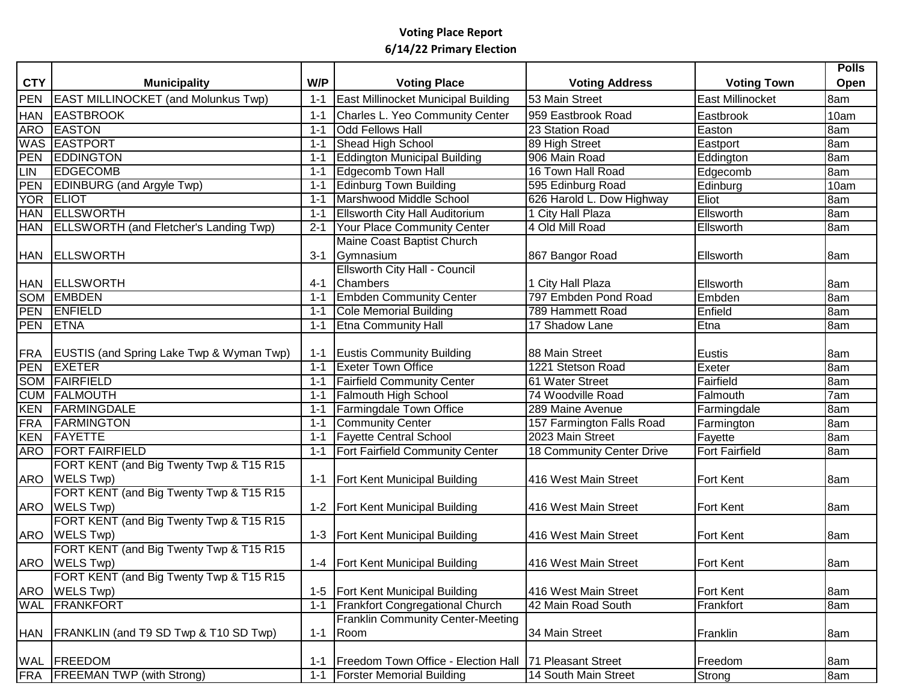|                 |                                               |         |                                          |                           |                         | <b>Polls</b> |
|-----------------|-----------------------------------------------|---------|------------------------------------------|---------------------------|-------------------------|--------------|
| <b>CTY</b>      | <b>Municipality</b>                           | W/P     | <b>Voting Place</b>                      | <b>Voting Address</b>     | <b>Voting Town</b>      | Open         |
| <b>PEN</b>      | <b>EAST MILLINOCKET (and Molunkus Twp)</b>    | $1 - 1$ | East Millinocket Municipal Building      | 53 Main Street            | <b>East Millinocket</b> | 8am          |
| <b>HAN</b>      | <b>EASTBROOK</b>                              | $1 - 1$ | Charles L. Yeo Community Center          | 959 Eastbrook Road        | Eastbrook               | 10am         |
| <b>ARO</b>      | <b>EASTON</b>                                 | $1 - 1$ | <b>Odd Fellows Hall</b>                  | 23 Station Road           | Easton                  | 8am          |
| <b>WAS</b>      | <b>EASTPORT</b>                               | $1 - 1$ | Shead High School                        | 89 High Street            | Eastport                | 8am          |
| PEN             | <b>EDDINGTON</b>                              | $1 - 1$ | <b>Eddington Municipal Building</b>      | 906 Main Road             | Eddington               | 8am          |
| LIN             | <b>EDGECOMB</b>                               | $1 - 1$ | <b>Edgecomb Town Hall</b>                | 16 Town Hall Road         | Edgecomb                | 8am          |
| PEN             | <b>EDINBURG</b> (and Argyle Twp)              | $1 - 1$ | <b>Edinburg Town Building</b>            | 595 Edinburg Road         | Edinburg                | 10am         |
| <b>YOR</b>      | <b>ELIOT</b>                                  | $1 - 1$ | Marshwood Middle School                  | 626 Harold L. Dow Highway | <b>Eliot</b>            | 8am          |
| <b>HAN</b>      | <b>ELLSWORTH</b>                              | $1 - 1$ | <b>Ellsworth City Hall Auditorium</b>    | 1 City Hall Plaza         | Ellsworth               | 8am          |
| <b>HAN</b>      | <b>ELLSWORTH (and Fletcher's Landing Twp)</b> | $2 - 1$ | Your Place Community Center              | 4 Old Mill Road           | Ellsworth               | 8am          |
|                 |                                               |         | Maine Coast Baptist Church               |                           |                         |              |
|                 | HAN ELLSWORTH                                 | $3 - 1$ | Gymnasium                                | 867 Bangor Road           | Ellsworth               | 8am          |
|                 |                                               |         | <b>Ellsworth City Hall - Council</b>     |                           |                         |              |
|                 | HAN ELLSWORTH                                 | $4 - 1$ | Chambers                                 | 1 City Hall Plaza         | Ellsworth               | 8am          |
|                 | <b>SOM EMBDEN</b>                             | $1 - 1$ | <b>Embden Community Center</b>           | 797 Embden Pond Road      | Embden                  | 8am          |
|                 | PEN ENFIELD                                   | $1 - 1$ | <b>Cole Memorial Building</b>            | 789 Hammett Road          | Enfield                 | 8am          |
| <b>PEN ETNA</b> |                                               | $1 - 1$ | <b>Etna Community Hall</b>               | 17 Shadow Lane            | Etna                    | 8am          |
|                 |                                               |         |                                          |                           |                         |              |
|                 | FRA EUSTIS (and Spring Lake Twp & Wyman Twp)  |         | 1-1 Eustis Community Building            | 88 Main Street            | Eustis                  | 8am          |
| <b>PEN</b>      | <b>EXETER</b>                                 | $1 - 1$ | <b>Exeter Town Office</b>                | 1221 Stetson Road         | Exeter                  | 8am          |
| <b>SOM</b>      | FAIRFIELD                                     | $1 - 1$ | <b>Fairfield Community Center</b>        | 61 Water Street           | Fairfield               | 8am          |
| <b>CUM</b>      | FALMOUTH                                      | $1 - 1$ | <b>Falmouth High School</b>              | 74 Woodville Road         | Falmouth                | 7am          |
| <b>KEN</b>      | FARMINGDALE                                   | $1 - 1$ | Farmingdale Town Office                  | 289 Maine Avenue          | Farmingdale             | 8am          |
| <b>FRA</b>      | <b>FARMINGTON</b>                             | $1 - 1$ | <b>Community Center</b>                  | 157 Farmington Falls Road | Farmington              | 8am          |
| KEN             | FAYETTE                                       | $1 - 1$ | <b>Fayette Central School</b>            | 2023 Main Street          | Fayette                 | 8am          |
| <b>ARO</b>      | <b>FORT FAIRFIELD</b>                         | $1 - 1$ | <b>Fort Fairfield Community Center</b>   | 18 Community Center Drive | <b>Fort Fairfield</b>   | 8am          |
|                 | FORT KENT (and Big Twenty Twp & T15 R15       |         |                                          |                           |                         |              |
|                 | ARO   WELS Twp)                               |         | 1-1   Fort Kent Municipal Building       | 416 West Main Street      | <b>Fort Kent</b>        | 8am          |
|                 | FORT KENT (and Big Twenty Twp & T15 R15       |         |                                          |                           |                         |              |
|                 | ARO   WELS Twp)                               |         | 1-2   Fort Kent Municipal Building       | 416 West Main Street      | <b>Fort Kent</b>        | 8am          |
|                 | FORT KENT (and Big Twenty Twp & T15 R15       |         |                                          |                           |                         |              |
|                 | ARO   WELS Twp)                               |         | 1-3   Fort Kent Municipal Building       | 416 West Main Street      | <b>Fort Kent</b>        | 8am          |
|                 | FORT KENT (and Big Twenty Twp & T15 R15       |         |                                          |                           |                         |              |
|                 | ARO   WELS Twp)                               |         | 1-4   Fort Kent Municipal Building       | 416 West Main Street      | <b>Fort Kent</b>        | 8am          |
|                 | FORT KENT (and Big Twenty Twp & T15 R15       |         |                                          |                           |                         |              |
| ARO             | WELS Twp)                                     |         | 1-5   Fort Kent Municipal Building       | 416 West Main Street      | <b>Fort Kent</b>        | 8am          |
| <b>WAL</b>      | FRANKFORT                                     | $1 - 1$ | <b>Frankfort Congregational Church</b>   | 42 Main Road South        | Frankfort               | 8am          |
|                 |                                               |         | <b>Franklin Community Center-Meeting</b> |                           |                         |              |
|                 | HAN   FRANKLIN (and T9 SD Twp & T10 SD Twp)   | $1 - 1$ | Room                                     | 34 Main Street            | Franklin                | 8am          |
|                 |                                               |         |                                          |                           |                         |              |
|                 | WAL FREEDOM                                   | $1 - 1$ | Freedom Town Office - Election Hall      | 71 Pleasant Street        | Freedom                 | 8am          |
| FRA             | <b>FREEMAN TWP (with Strong)</b>              | $1 - 1$ | <b>Forster Memorial Building</b>         | 14 South Main Street      | Strong                  | 8am          |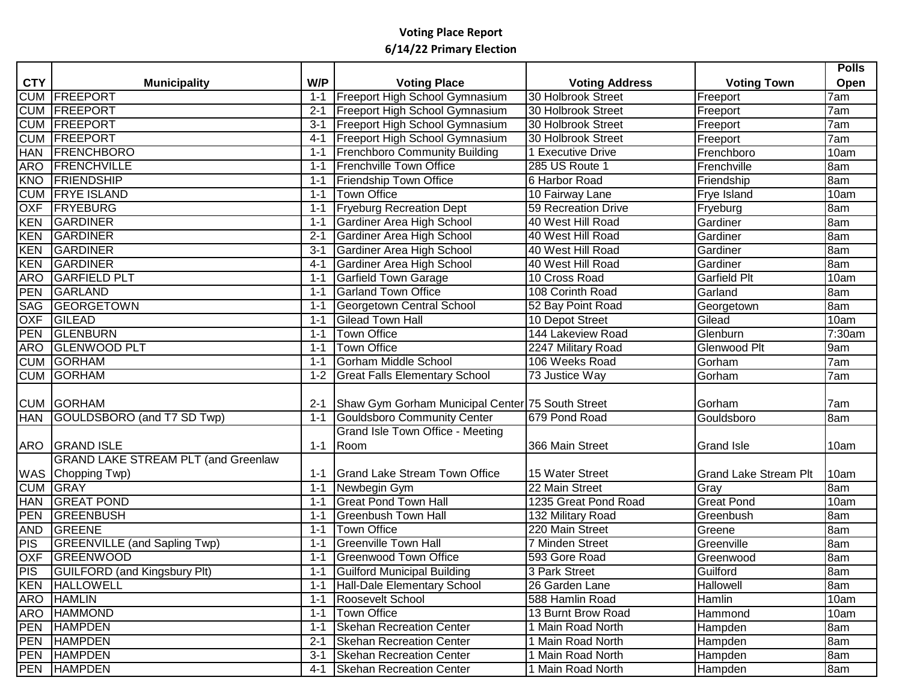|            |                                            |         |                                                  |                            |                              | <b>Polls</b> |
|------------|--------------------------------------------|---------|--------------------------------------------------|----------------------------|------------------------------|--------------|
| <b>CTY</b> | <b>Municipality</b>                        | W/P     | <b>Voting Place</b>                              | <b>Voting Address</b>      | <b>Voting Town</b>           | Open         |
| <b>CUM</b> | FREEPORT                                   | $1 - 1$ | Freeport High School Gymnasium                   | 30 Holbrook Street         | Freeport                     | 7am          |
| <b>CUM</b> | FREEPORT                                   | $2 - 1$ | Freeport High School Gymnasium                   | 30 Holbrook Street         | Freeport                     | 7am          |
| <b>CUM</b> | FREEPORT                                   | $3 - 1$ | Freeport High School Gymnasium                   | 30 Holbrook Street         | Freeport                     | 7am          |
| <b>CUM</b> | FREEPORT                                   | $4 - 1$ | Freeport High School Gymnasium                   | 30 Holbrook Street         | Freeport                     | 7am          |
| <b>HAN</b> | <b>FRENCHBORO</b>                          | $1 - 1$ | <b>Frenchboro Community Building</b>             | 1 Executive Drive          | Frenchboro                   | 10am         |
| ARO        | FRENCHVILLE                                | $1 - 1$ | <b>Frenchville Town Office</b>                   | 285 US Route 1             | Frenchville                  | 8am          |
| <b>KNO</b> | <b>FRIENDSHIP</b>                          | $1 - 1$ | Friendship Town Office                           | 6 Harbor Road              | Friendship                   | 8am          |
| <b>CUM</b> | <b>FRYE ISLAND</b>                         | $1 - 1$ | <b>Town Office</b>                               | 10 Fairway Lane            | Frye Island                  | 10am         |
| <b>OXF</b> | <b>FRYEBURG</b>                            | $1 - 1$ | <b>Fryeburg Recreation Dept</b>                  | <b>59 Recreation Drive</b> | Fryeburg                     | 8am          |
| <b>KEN</b> | GARDINER                                   | $1 - 1$ | <b>Gardiner Area High School</b>                 | 40 West Hill Road          | Gardiner                     | 8am          |
| <b>KEN</b> | GARDINER                                   | $2 - 1$ | <b>Gardiner Area High School</b>                 | 40 West Hill Road          | Gardiner                     | 8am          |
| <b>KEN</b> | GARDINER                                   | $3 - 1$ | Gardiner Area High School                        | 40 West Hill Road          | Gardiner                     | 8am          |
| <b>KEN</b> | GARDINER                                   | $4 - 1$ | <b>Gardiner Area High School</b>                 | 40 West Hill Road          | Gardiner                     | 8am          |
| <b>ARO</b> | <b>GARFIELD PLT</b>                        | $1 - 1$ | <b>Garfield Town Garage</b>                      | 10 Cross Road              | <b>Garfield Plt</b>          | 10am         |
| PEN        | GARLAND                                    | $1 - 1$ | <b>Garland Town Office</b>                       | 108 Corinth Road           | Garland                      | 8am          |
| SAG        | <b>GEORGETOWN</b>                          | $1 - 1$ | Georgetown Central School                        | 52 Bay Point Road          | Georgetown                   | 8am          |
| <b>OXF</b> | GILEAD                                     | $1 - 1$ | <b>Gilead Town Hall</b>                          | 10 Depot Street            | Gilead                       | 10am         |
| PEN        | GLENBURN                                   | $1 - 1$ | <b>Town Office</b>                               | 144 Lakeview Road          | Glenburn                     | 7:30am       |
| ARO        | <b>GLENWOOD PLT</b>                        | $1 - 1$ | <b>Town Office</b>                               | 2247 Military Road         | Glenwood Plt                 | 9am          |
|            | <b>CUM GORHAM</b>                          | $1 - 1$ | <b>Gorham Middle School</b>                      | 106 Weeks Road             | Gorham                       | 7am          |
|            | <b>CUM GORHAM</b>                          | $1 - 2$ | <b>Great Falls Elementary School</b>             | 73 Justice Way             | Gorham                       | 7am          |
|            |                                            |         |                                                  |                            |                              |              |
|            | <b>CUM GORHAM</b>                          | $2 - 1$ | Shaw Gym Gorham Municipal Center 75 South Street |                            | Gorham                       | 7am          |
| <b>HAN</b> | GOULDSBORO (and T7 SD Twp)                 | $1 - 1$ | Gouldsboro Community Center                      | 679 Pond Road              | Gouldsboro                   | 8am          |
|            |                                            |         | Grand Isle Town Office - Meeting                 |                            |                              |              |
| ARO        | <b>GRAND ISLE</b>                          | $1 - 1$ | Room                                             | 366 Main Street            | <b>Grand Isle</b>            | 10am         |
|            | <b>GRAND LAKE STREAM PLT (and Greenlaw</b> |         |                                                  |                            |                              |              |
|            | WAS Chopping Twp)                          | 1-1     | <b>Grand Lake Stream Town Office</b>             | 15 Water Street            | <b>Grand Lake Stream Plt</b> | 10am         |
| <b>CUM</b> | <b>GRAY</b>                                | $1 - 1$ | Newbegin Gym                                     | 22 Main Street             | Gray                         | 8am          |
| <b>HAN</b> | <b>GREAT POND</b>                          | $1 - 1$ | <b>Great Pond Town Hall</b>                      | 1235 Great Pond Road       | <b>Great Pond</b>            | 10am         |
| <b>PEN</b> | <b>GREENBUSH</b>                           | $1 - 1$ | <b>Greenbush Town Hall</b>                       | 132 Military Road          | Greenbush                    | 8am          |
| <b>AND</b> | GREENE                                     | $1 - 1$ | <b>Town Office</b>                               | 220 Main Street            | Greene                       | 8am          |
| PIS        | <b>GREENVILLE</b> (and Sapling Twp)        | $1 - 1$ | <b>Greenville Town Hall</b>                      | <b>7 Minden Street</b>     | Greenville                   | 8am          |
| <b>OXF</b> | <b>GREENWOOD</b>                           | $1 - 1$ | Greenwood Town Office                            | 593 Gore Road              | Greenwood                    | 8am          |
|            | PIS GUILFORD (and Kingsbury Plt)           | $1 - 1$ | <b>Guilford Municipal Building</b>               | 3 Park Street              | Guilford                     | 8am          |
|            | <b>KEN HALLOWELL</b>                       | 1-1     | Hall-Dale Elementary School                      | 26 Garden Lane             | Hallowell                    | 8am          |
|            | ARO HAMLIN                                 | $1 - 1$ | Roosevelt School                                 | 588 Hamlin Road            | Hamlin                       | 10am         |
|            | ARO HAMMOND                                | $1 - 1$ | Town Office                                      | 13 Burnt Brow Road         | Hammond                      | 10am         |
|            | PEN HAMPDEN                                | $1 - 1$ | <b>Skehan Recreation Center</b>                  | 1 Main Road North          | Hampden                      | 8am          |
|            | PEN HAMPDEN                                | $2 - 1$ | <b>Skehan Recreation Center</b>                  | 1 Main Road North          | Hampden                      | 8am          |
|            | PEN HAMPDEN                                | $3 - 1$ | Skehan Recreation Center                         | 1 Main Road North          | Hampden                      | 8am          |
|            | <b>PEN HAMPDEN</b>                         |         | 4-1 Skehan Recreation Center                     | 1 Main Road North          | Hampden                      | 8am          |
|            |                                            |         |                                                  |                            |                              |              |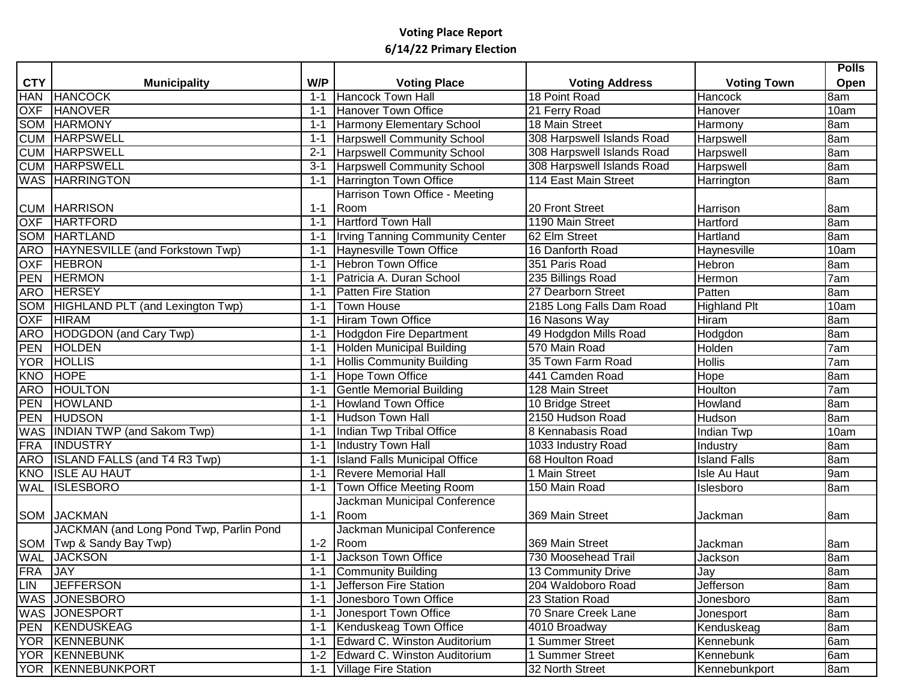|                 |                                         |         |                                        |                            |                     | <b>Polls</b> |
|-----------------|-----------------------------------------|---------|----------------------------------------|----------------------------|---------------------|--------------|
| <b>CTY</b>      | <b>Municipality</b>                     | W/P     | <b>Voting Place</b>                    | <b>Voting Address</b>      | <b>Voting Town</b>  | <b>Open</b>  |
| <b>HAN</b>      | <b>HANCOCK</b>                          | $1 - 1$ | <b>Hancock Town Hall</b>               | 18 Point Road              | Hancock             | 8am          |
| <b>OXF</b>      | <b>HANOVER</b>                          | $1 - 1$ | Hanover Town Office                    | 21 Ferry Road              | Hanover             | 10am         |
| SOM             | HARMONY                                 | $1 - 1$ | Harmony Elementary School              | 18 Main Street             | Harmony             | 8am          |
| <b>CUM</b>      | <b>HARPSWELL</b>                        | $1 - 1$ | <b>Harpswell Community School</b>      | 308 Harpswell Islands Road | Harpswell           | 8am          |
|                 | <b>CUM HARPSWELL</b>                    | $2 - 1$ | <b>Harpswell Community School</b>      | 308 Harpswell Islands Road | Harpswell           | 8am          |
|                 | <b>CUM HARPSWELL</b>                    | $3 - 1$ | <b>Harpswell Community School</b>      | 308 Harpswell Islands Road | Harpswell           | 8am          |
|                 | <b>WAS HARRINGTON</b>                   | $1 - 1$ | Harrington Town Office                 | 114 East Main Street       | Harrington          | 8am          |
|                 |                                         |         | Harrison Town Office - Meeting         |                            |                     |              |
|                 | <b>CUM HARRISON</b>                     | $1 - 1$ | Room                                   | 20 Front Street            | Harrison            | 8am          |
| <b>OXF</b>      | <b>HARTFORD</b>                         | $1 - 1$ | <b>Hartford Town Hall</b>              | 1190 Main Street           | Hartford            | 8am          |
|                 | <b>SOM HARTLAND</b>                     | $1 - 1$ | <b>Irving Tanning Community Center</b> | 62 Elm Street              | Hartland            | 8am          |
|                 | ARO HAYNESVILLE (and Forkstown Twp)     | $1 - 1$ | <b>Haynesville Town Office</b>         | 16 Danforth Road           | Haynesville         | 10am         |
| <b>OXF</b>      | <b>HEBRON</b>                           | $1 - 1$ | <b>Hebron Town Office</b>              | 351 Paris Road             | <b>Hebron</b>       | 8am          |
| PEN             | <b>HERMON</b>                           | $1 - 1$ | Patricia A. Duran School               | 235 Billings Road          | Hermon              | 7am          |
| <b>ARO</b>      | <b>HERSEY</b>                           | $1 - 1$ | <b>Patten Fire Station</b>             | 27 Dearborn Street         | Patten              | 8am          |
|                 | SOM HIGHLAND PLT (and Lexington Twp)    | $1 - 1$ | <b>Town House</b>                      | 2185 Long Falls Dam Road   | <b>Highland Plt</b> | 10am         |
| <b>OXF</b>      | <b>HIRAM</b>                            | $1 - 1$ | <b>Hiram Town Office</b>               | 16 Nasons Way              | Hiram               | 8am          |
|                 | ARO HODGDON (and Cary Twp)              | $1 - 1$ | Hodgdon Fire Department                | 49 Hodgdon Mills Road      | Hodgdon             | 8am          |
| <b>PEN</b>      | HOLDEN                                  | $1 - 1$ | <b>Holden Municipal Building</b>       | 570 Main Road              | Holden              | 7am          |
|                 | YOR HOLLIS                              | $1 - 1$ | <b>Hollis Community Building</b>       | 35 Town Farm Road          | <b>Hollis</b>       | 7am          |
| <b>KNO</b>      | <b>HOPE</b>                             | $1 - 1$ | Hope Town Office                       | 441 Camden Road            | Hope                | 8am          |
| ARO <sub></sub> | <b>HOULTON</b>                          | $1 - 1$ | <b>Gentle Memorial Building</b>        | 128 Main Street            | Houlton             | 7am          |
| PEN             | HOWLAND                                 | $1 - 1$ | <b>Howland Town Office</b>             | 10 Bridge Street           | Howland             | 8am          |
| PEN             | <b>HUDSON</b>                           | $1 - 1$ | <b>Hudson Town Hall</b>                | 2150 Hudson Road           | Hudson              | 8am          |
|                 | WAS INDIAN TWP (and Sakom Twp)          | $1 - 1$ | Indian Twp Tribal Office               | 8 Kennabasis Road          | Indian Twp          | 10am         |
| <b>FRA</b>      | <b>INDUSTRY</b>                         | $1 - 1$ | <b>Industry Town Hall</b>              | 1033 Industry Road         | Industry            | 8am          |
| <b>ARO</b>      | <b>ISLAND FALLS (and T4 R3 Twp)</b>     | $1 - 1$ | <b>Island Falls Municipal Office</b>   | 68 Houlton Road            | <b>Island Falls</b> | 8am          |
| <b>KNO</b>      | <b>ISLE AU HAUT</b>                     | $1 - 1$ | <b>Revere Memorial Hall</b>            | 1 Main Street              | Isle Au Haut        | 9am          |
| <b>WAL</b>      | <b>ISLESBORO</b>                        | $1 - 1$ | Town Office Meeting Room               | 150 Main Road              | Islesboro           | 8am          |
|                 |                                         |         | Jackman Municipal Conference           |                            |                     |              |
|                 | <b>SOM JACKMAN</b>                      | $1 - 1$ | Room                                   | 369 Main Street            | Jackman             | 8am          |
|                 | JACKMAN (and Long Pond Twp, Parlin Pond |         | Jackman Municipal Conference           |                            |                     |              |
|                 | SOM   Twp & Sandy Bay Twp)              | $1 - 2$ | Room                                   | 369 Main Street            | Jackman             | 8am          |
|                 | <b>WAL JACKSON</b>                      | $1 - 1$ | Jackson Town Office                    | 730 Moosehead Trail        | Jackson             | 8am          |
| FRA JAY         |                                         | $1 - 1$ | Community Building                     | 13 Community Drive         | Jay                 | 8am          |
|                 | LIN JEFFERSON                           | $1 - 1$ | Jefferson Fire Station                 | 204 Waldoboro Road         | <b>Jefferson</b>    | 8am          |
|                 | <b>WAS JONESBORO</b>                    | $1 - 1$ | Jonesboro Town Office                  | 23 Station Road            | Jonesboro           | 8am          |
|                 | <b>WAS JONESPORT</b>                    | $1 - 1$ | Jonesport Town Office                  | 70 Snare Creek Lane        | Jonesport           | 8am          |
|                 | <b>PEN KENDUSKEAG</b>                   | $1 - 1$ | Kenduskeag Town Office                 | 4010 Broadway              | Kenduskeag          | 8am          |
|                 | YOR KENNEBUNK                           | $1 - 1$ | Edward C. Winston Auditorium           | 1 Summer Street            | Kennebunk           | 6am          |
|                 | <b>YOR KENNEBUNK</b>                    |         | 1-2 Edward C. Winston Auditorium       | <b>Summer Street</b>       | Kennebunk           | 6am          |
|                 | YOR KENNEBUNKPORT                       |         | 1-1 Village Fire Station               | 32 North Street            | Kennebunkport       | 8am          |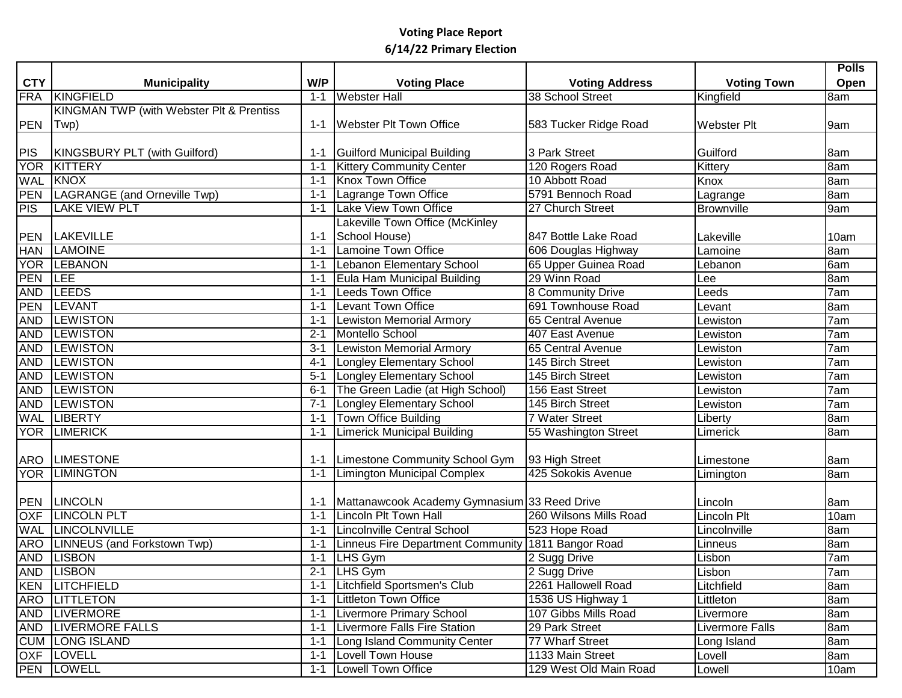|            |                                          |         |                                                    |                        |                        | <b>Polls</b> |
|------------|------------------------------------------|---------|----------------------------------------------------|------------------------|------------------------|--------------|
| <b>CTY</b> | <b>Municipality</b>                      | W/P     | <b>Voting Place</b>                                | <b>Voting Address</b>  | <b>Voting Town</b>     | Open         |
| <b>FRA</b> | KINGFIELD                                | $1 - 1$ | <b>Webster Hall</b>                                | 38 School Street       | Kingfield              | 8am          |
|            | KINGMAN TWP (with Webster Plt & Prentiss |         |                                                    |                        |                        |              |
| <b>PEN</b> | Twp)                                     | 1-1     | <b>Webster Plt Town Office</b>                     | 583 Tucker Ridge Road  | <b>Webster Plt</b>     | 9am          |
|            |                                          |         |                                                    |                        |                        |              |
| <b>PIS</b> | KINGSBURY PLT (with Guilford)            | 1-1     | Guilford Municipal Building                        | 3 Park Street          | Guilford               | 8am          |
| <b>YOR</b> | KITTERY                                  | $1 - 1$ | <b>Kittery Community Center</b>                    | 120 Rogers Road        | Kittery                | 8am          |
| <b>WAL</b> | KNOX                                     | $1 - 1$ | Knox Town Office                                   | 10 Abbott Road         | Knox                   | 8am          |
| <b>PEN</b> | LAGRANGE (and Orneville Twp)             | $1 - 1$ | Lagrange Town Office                               | 5791 Bennoch Road      | Lagrange               | 8am          |
| <b>PIS</b> | <b>LAKE VIEW PLT</b>                     | 1-1     | Lake View Town Office                              | 27 Church Street       | <b>Brownville</b>      | 9am          |
|            |                                          |         | Lakeville Town Office (McKinley                    |                        |                        |              |
| <b>PEN</b> | <b>LAKEVILLE</b>                         | $1 - 1$ | School House)                                      | 847 Bottle Lake Road   | Lakeville              | 10am         |
| <b>HAN</b> | <b>LAMOINE</b>                           | $1 - 1$ | Lamoine Town Office                                | 606 Douglas Highway    | Lamoine                | 8am          |
| <b>YOR</b> | <b>LEBANON</b>                           | $1 - 1$ | Lebanon Elementary School                          | 65 Upper Guinea Road   | Lebanon                | 6am          |
| PEN        | <b>LEE</b>                               | $1 - 1$ | Eula Ham Municipal Building                        | 29 Winn Road           | Lee                    | 8am          |
| <b>AND</b> | <b>LEEDS</b>                             | $1 - 1$ | <b>Leeds Town Office</b>                           | 8 Community Drive      | Leeds                  | 7am          |
| PEN        | <b>LEVANT</b>                            | $1 - 1$ | Levant Town Office                                 | 691 Townhouse Road     | Levant                 | 8am          |
| <b>AND</b> | <b>LEWISTON</b>                          | $1 - 1$ | <b>Lewiston Memorial Armory</b>                    | 65 Central Avenue      | Lewiston               | 7am          |
| <b>AND</b> | <b>LEWISTON</b>                          | $2 - 1$ | Montello School                                    | 407 East Avenue        | Lewiston               | 7am          |
| <b>AND</b> | <b>LEWISTON</b>                          | $3 - 1$ | Lewiston Memorial Armory                           | 65 Central Avenue      | Lewiston               | 7am          |
| <b>AND</b> | <b>LEWISTON</b>                          | $4 - 1$ | Longley Elementary School                          | 145 Birch Street       | Lewiston               | 7am          |
| <b>AND</b> | <b>LEWISTON</b>                          | $5 - 1$ | Longley Elementary School                          | 145 Birch Street       | Lewiston               | 7am          |
| <b>AND</b> | <b>LEWISTON</b>                          | $6 - 1$ | The Green Ladie (at High School)                   | 156 East Street        | Lewiston               | 7am          |
| <b>AND</b> | <b>LEWISTON</b>                          | $7 - 1$ | <b>Longley Elementary School</b>                   | 145 Birch Street       | Lewiston               | 7am          |
| <b>WAL</b> | <b>LIBERTY</b>                           | $1 - 1$ | Town Office Building                               | 7 Water Street         | Liberty                | 8am          |
| YOR        | <b>LIMERICK</b>                          | $1 - 1$ | <b>Limerick Municipal Building</b>                 | 55 Washington Street   | Limerick               | 8am          |
|            |                                          |         |                                                    |                        |                        |              |
| ARO        | <b>LIMESTONE</b>                         | $1 - 1$ | Limestone Community School Gym                     | 93 High Street         | Limestone              | 8am          |
|            | YOR LIMINGTON                            | $1 - 1$ | Limington Municipal Complex                        | 425 Sokokis Avenue     | Limington              | 8am          |
|            |                                          |         |                                                    |                        |                        |              |
| <b>PEN</b> | <b>LINCOLN</b>                           | 1-1     | Mattanawcook Academy Gymnasium 33 Reed Drive       |                        | Lincoln                | 8am          |
| <b>OXF</b> | <b>LINCOLN PLT</b>                       | $1 - 1$ | Lincoln Plt Town Hall                              | 260 Wilsons Mills Road | Lincoln Plt            | 10am         |
| <b>WAL</b> | <b>LINCOLNVILLE</b>                      | $1 - 1$ | Lincolnville Central School                        | 523 Hope Road          | Lincolnville           | 8am          |
|            | ARO LINNEUS (and Forkstown Twp)          | $1 - 1$ | Linneus Fire Department Community 1811 Bangor Road |                        | Linneus                | 8am          |
|            | AND LISBON                               | $1 - 1$ | LHS Gym                                            | 2 Sugg Drive           | Lisbon                 | 7am          |
|            | AND LISBON                               |         | 2-1 LHS Gym                                        | 2 Sugg Drive           | Lisbon                 | 7am          |
|            | <b>KEN LITCHFIELD</b>                    |         | 1-1   Litchfield Sportsmen's Club                  | 2261 Hallowell Road    | Litchfield             | 8am          |
|            | ARO LITTLETON                            |         | 1-1   Littleton Town Office                        | 1536 US Highway 1      | Littleton              | 8am          |
|            | AND LIVERMORE                            |         | 1-1   Livermore Primary School                     | 107 Gibbs Mills Road   | Livermore              | 8am          |
|            | <b>AND LIVERMORE FALLS</b>               |         | 1-1 Livermore Falls Fire Station                   | 29 Park Street         | <b>Livermore Falls</b> | 8am          |
|            | <b>CUM LONG ISLAND</b>                   |         | 1-1 Long Island Community Center                   | 77 Wharf Street        | Long Island            | 8am          |
|            | OXF LOVELL                               |         | 1-1 Lovell Town House                              | 1133 Main Street       | Lovell                 | 8am          |
|            | PEN LOWELL                               |         | 1-1 Lowell Town Office                             | 129 West Old Main Road | Lowell                 | 10am         |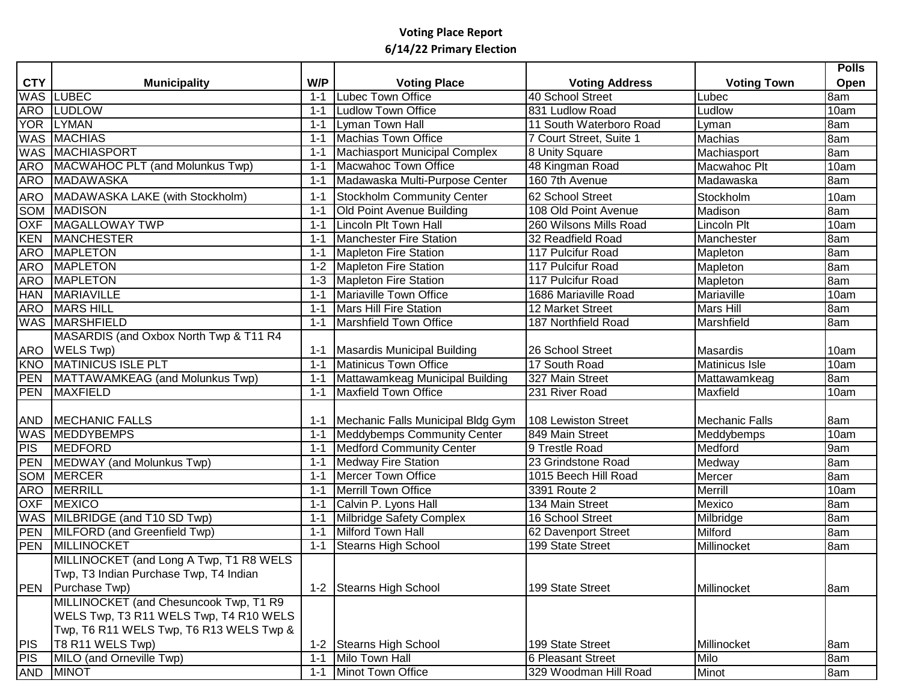|            |                                         |         |                                    |                          |                       | <b>Polls</b>       |
|------------|-----------------------------------------|---------|------------------------------------|--------------------------|-----------------------|--------------------|
| <b>CTY</b> | <b>Municipality</b>                     | W/P     | <b>Voting Place</b>                | <b>Voting Address</b>    | <b>Voting Town</b>    | Open               |
|            | <b>WAS LUBEC</b>                        | $1 - 1$ | Lubec Town Office                  | 40 School Street         | Lubec                 | 8am                |
|            | <b>ARO LUDLOW</b>                       | $1 - 1$ | Ludlow Town Office                 | 831 Ludlow Road          | Ludlow                | 10am               |
| <b>YOR</b> | <b>LYMAN</b>                            | $1 - 1$ | Lyman Town Hall                    | 11 South Waterboro Road  | Lyman                 | 8am                |
|            | WAS MACHIAS                             | $1 - 1$ | Machias Town Office                | 7 Court Street, Suite 1  | Machias               | 8am                |
|            | <b>WAS MACHIASPORT</b>                  | $1 - 1$ | Machiasport Municipal Complex      | 8 Unity Square           | Machiasport           | 8am                |
| ARO        | MACWAHOC PLT (and Molunkus Twp)         | $1 - 1$ | Macwahoc Town Office               | 48 Kingman Road          | Macwahoc Plt          | 10am               |
| ARO        | MADAWASKA                               | $1 - 1$ | Madawaska Multi-Purpose Center     | 160 7th Avenue           | Madawaska             | 8am                |
| ARO        | MADAWASKA LAKE (with Stockholm)         | $1 - 1$ | Stockholm Community Center         | 62 School Street         | Stockholm             | 10am               |
| <b>SOM</b> | <b>MADISON</b>                          | $1 - 1$ | <b>Old Point Avenue Building</b>   | 108 Old Point Avenue     | Madison               | 8am                |
| <b>OXF</b> | MAGALLOWAY TWP                          | $1 - 1$ | Lincoln Plt Town Hall              | 260 Wilsons Mills Road   | Lincoln Plt           | 10am               |
| <b>KEN</b> | <b>MANCHESTER</b>                       | $1 - 1$ | Manchester Fire Station            | 32 Readfield Road        | Manchester            | 8am                |
| <b>ARO</b> | <b>MAPLETON</b>                         | $1 - 1$ | <b>Mapleton Fire Station</b>       | 117 Pulcifur Road        | Mapleton              | 8am                |
| <b>ARO</b> | <b>MAPLETON</b>                         | $1 - 2$ | Mapleton Fire Station              | 117 Pulcifur Road        | Mapleton              | 8am                |
| <b>ARO</b> | <b>MAPLETON</b>                         | $1 - 3$ | Mapleton Fire Station              | 117 Pulcifur Road        | Mapleton              | 8am                |
| <b>HAN</b> | <b>MARIAVILLE</b>                       | $1 - 1$ | Mariaville Town Office             | 1686 Mariaville Road     | Mariaville            | $\overline{1}0$ am |
|            | ARO MARS HILL                           | $1 - 1$ | <b>Mars Hill Fire Station</b>      | 12 Market Street         | Mars Hill             | 8am                |
|            | <b>WAS MARSHFIELD</b>                   | $1 - 1$ | Marshfield Town Office             | 187 Northfield Road      | Marshfield            | 8am                |
|            | MASARDIS (and Oxbox North Twp & T11 R4  |         |                                    |                          |                       |                    |
| <b>ARO</b> | <b>WELS Twp</b> )                       | 1-1     | Masardis Municipal Building        | 26 School Street         | Masardis              | 10am               |
| <b>KNO</b> | <b>MATINICUS ISLE PLT</b>               | $1 - 1$ | Matinicus Town Office              | 17 South Road            | Matinicus Isle        | $\overline{1}$ 0am |
| <b>PEN</b> | MATTAWAMKEAG (and Molunkus Twp)         | $1 - 1$ | Mattawamkeag Municipal Building    | 327 Main Street          | Mattawamkeag          | 8am                |
| <b>PEN</b> | MAXFIELD                                | $1 - 1$ | Maxfield Town Office               | 231 River Road           | Maxfield              | 10am               |
|            |                                         |         |                                    |                          |                       |                    |
| <b>AND</b> | <b>MECHANIC FALLS</b>                   | 1-1     | Mechanic Falls Municipal Bldg Gym  | 108 Lewiston Street      | <b>Mechanic Falls</b> | 8am                |
|            | <b>WAS MEDDYBEMPS</b>                   | $1 - 1$ | <b>Meddybemps Community Center</b> | 849 Main Street          | Meddybemps            | 10am               |
| PIS        | <b>MEDFORD</b>                          | $1 - 1$ | <b>Medford Community Center</b>    | 9 Trestle Road           | Medford               | 9am                |
|            | PEN MEDWAY (and Molunkus Twp)           | $1 - 1$ | <b>Medway Fire Station</b>         | 23 Grindstone Road       | Medway                | 8am                |
|            | <b>SOM MERCER</b>                       | $1 - 1$ | <b>Mercer Town Office</b>          | 1015 Beech Hill Road     | Mercer                | 8am                |
|            | ARO MERRILL                             | $1 - 1$ | <b>Merrill Town Office</b>         | 3391 Route 2             | Merrill               | 10am               |
|            | OXF MEXICO                              | $1 - 1$ | Calvin P. Lyons Hall               | 134 Main Street          | Mexico                | 8am                |
|            | WAS MILBRIDGE (and T10 SD Twp)          | $1 - 1$ | Milbridge Safety Complex           | 16 School Street         | Milbridge             | 8am                |
|            | PEN MILFORD (and Greenfield Twp)        | $1 - 1$ | Milford Town Hall                  | 62 Davenport Street      | Milford               | 8am                |
|            | <b>PEN MILLINOCKET</b>                  | $1 - 1$ | <b>Stearns High School</b>         | 199 State Street         | Millinocket           | 8am                |
|            | MILLINOCKET (and Long A Twp, T1 R8 WELS |         |                                    |                          |                       |                    |
|            | Twp, T3 Indian Purchase Twp, T4 Indian  |         |                                    |                          |                       |                    |
|            | PEN Purchase Twp)                       |         | 1-2 Stearns High School            | 199 State Street         | Millinocket           | 8am                |
|            | MILLINOCKET (and Chesuncook Twp, T1 R9  |         |                                    |                          |                       |                    |
|            | WELS Twp, T3 R11 WELS Twp, T4 R10 WELS  |         |                                    |                          |                       |                    |
|            | Twp, T6 R11 WELS Twp, T6 R13 WELS Twp & |         |                                    |                          |                       |                    |
| PIS        | T8 R11 WELS Twp)                        | $1 - 2$ | Stearns High School                | 199 State Street         | Millinocket           | 8am                |
| <b>PIS</b> | MILO (and Orneville Twp)                | $1 - 1$ | Milo Town Hall                     | <b>6 Pleasant Street</b> | Milo                  | 8am                |
|            | AND MINOT                               | $1 - 1$ | Minot Town Office                  | 329 Woodman Hill Road    | Minot                 | 8am                |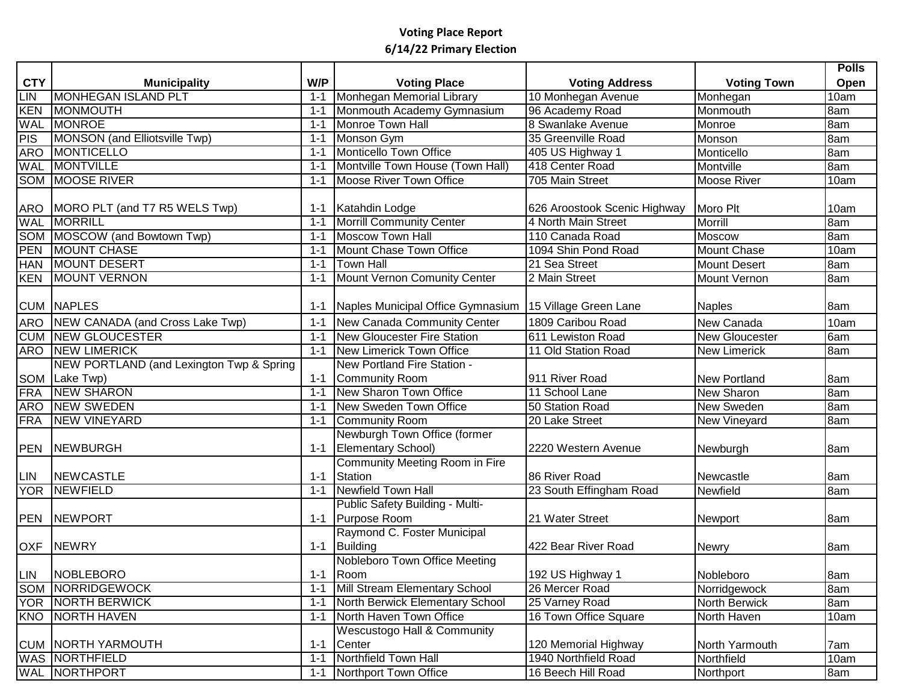|                                                                                                       |                                                                                                                                                                                                                                                                                                                                                                                                                                   |                                                     |                                                                                                                                                                                                                                                                                                                                                                                                                                                                                                                                                                                                                                                         |                                                                                                                                                                                                                                                                  |                                                                                                                                                                                                                                                                                    | <b>Polls</b> |
|-------------------------------------------------------------------------------------------------------|-----------------------------------------------------------------------------------------------------------------------------------------------------------------------------------------------------------------------------------------------------------------------------------------------------------------------------------------------------------------------------------------------------------------------------------|-----------------------------------------------------|---------------------------------------------------------------------------------------------------------------------------------------------------------------------------------------------------------------------------------------------------------------------------------------------------------------------------------------------------------------------------------------------------------------------------------------------------------------------------------------------------------------------------------------------------------------------------------------------------------------------------------------------------------|------------------------------------------------------------------------------------------------------------------------------------------------------------------------------------------------------------------------------------------------------------------|------------------------------------------------------------------------------------------------------------------------------------------------------------------------------------------------------------------------------------------------------------------------------------|--------------|
| <b>CTY</b>                                                                                            | <b>Municipality</b>                                                                                                                                                                                                                                                                                                                                                                                                               | W/P                                                 | <b>Voting Place</b>                                                                                                                                                                                                                                                                                                                                                                                                                                                                                                                                                                                                                                     | <b>Voting Address</b>                                                                                                                                                                                                                                            | <b>Voting Town</b>                                                                                                                                                                                                                                                                 | Open         |
| LIN                                                                                                   | MONHEGAN ISLAND PLT                                                                                                                                                                                                                                                                                                                                                                                                               | $1 - 1$                                             | Monhegan Memorial Library                                                                                                                                                                                                                                                                                                                                                                                                                                                                                                                                                                                                                               | 10 Monhegan Avenue                                                                                                                                                                                                                                               | Monhegan                                                                                                                                                                                                                                                                           | 10am         |
| KEN                                                                                                   | MONMOUTH                                                                                                                                                                                                                                                                                                                                                                                                                          | $1 - 1$                                             | Monmouth Academy Gymnasium                                                                                                                                                                                                                                                                                                                                                                                                                                                                                                                                                                                                                              | 96 Academy Road                                                                                                                                                                                                                                                  | Monmouth                                                                                                                                                                                                                                                                           | 8am          |
| <b>WAL</b>                                                                                            | MONROE                                                                                                                                                                                                                                                                                                                                                                                                                            | $1 - 1$                                             | Monroe Town Hall                                                                                                                                                                                                                                                                                                                                                                                                                                                                                                                                                                                                                                        | 8 Swanlake Avenue                                                                                                                                                                                                                                                | Monroe                                                                                                                                                                                                                                                                             | 8am          |
| PIS                                                                                                   | MONSON (and Elliotsville Twp)                                                                                                                                                                                                                                                                                                                                                                                                     | $1 - 1$                                             | Monson Gym                                                                                                                                                                                                                                                                                                                                                                                                                                                                                                                                                                                                                                              | 35 Greenville Road                                                                                                                                                                                                                                               | Monson                                                                                                                                                                                                                                                                             | 8am          |
| <b>ARO</b>                                                                                            | MONTICELLO                                                                                                                                                                                                                                                                                                                                                                                                                        | $1 - 1$                                             | Monticello Town Office                                                                                                                                                                                                                                                                                                                                                                                                                                                                                                                                                                                                                                  | 405 US Highway 1                                                                                                                                                                                                                                                 | Monticello                                                                                                                                                                                                                                                                         | 8am          |
| WAL                                                                                                   | <b>MONTVILLE</b>                                                                                                                                                                                                                                                                                                                                                                                                                  | $1 - 1$                                             | Montville Town House (Town Hall)                                                                                                                                                                                                                                                                                                                                                                                                                                                                                                                                                                                                                        | 418 Center Road                                                                                                                                                                                                                                                  | Montville                                                                                                                                                                                                                                                                          | 8am          |
|                                                                                                       | <b>SOM MOOSE RIVER</b>                                                                                                                                                                                                                                                                                                                                                                                                            | 1-1                                                 | Moose River Town Office                                                                                                                                                                                                                                                                                                                                                                                                                                                                                                                                                                                                                                 | 705 Main Street                                                                                                                                                                                                                                                  | <b>Moose River</b>                                                                                                                                                                                                                                                                 | 10am         |
|                                                                                                       |                                                                                                                                                                                                                                                                                                                                                                                                                                   |                                                     |                                                                                                                                                                                                                                                                                                                                                                                                                                                                                                                                                                                                                                                         |                                                                                                                                                                                                                                                                  |                                                                                                                                                                                                                                                                                    |              |
|                                                                                                       | ARO MORO PLT (and T7 R5 WELS Twp)                                                                                                                                                                                                                                                                                                                                                                                                 |                                                     | 1-1 Katahdin Lodge                                                                                                                                                                                                                                                                                                                                                                                                                                                                                                                                                                                                                                      | 626 Aroostook Scenic Highway                                                                                                                                                                                                                                     | Moro Plt                                                                                                                                                                                                                                                                           | 10am         |
|                                                                                                       | <b>WAL MORRILL</b>                                                                                                                                                                                                                                                                                                                                                                                                                | $1 - 1$                                             | <b>Morrill Community Center</b>                                                                                                                                                                                                                                                                                                                                                                                                                                                                                                                                                                                                                         | 4 North Main Street                                                                                                                                                                                                                                              | Morrill                                                                                                                                                                                                                                                                            | 8am          |
|                                                                                                       | <b>SOM MOSCOW (and Bowtown Twp)</b>                                                                                                                                                                                                                                                                                                                                                                                               | $1 - 1$                                             | <b>Moscow Town Hall</b>                                                                                                                                                                                                                                                                                                                                                                                                                                                                                                                                                                                                                                 | 110 Canada Road                                                                                                                                                                                                                                                  | Moscow                                                                                                                                                                                                                                                                             | 8am          |
| PEN                                                                                                   | <b>MOUNT CHASE</b>                                                                                                                                                                                                                                                                                                                                                                                                                | $1 - 1$                                             | Mount Chase Town Office                                                                                                                                                                                                                                                                                                                                                                                                                                                                                                                                                                                                                                 | 1094 Shin Pond Road                                                                                                                                                                                                                                              | <b>Mount Chase</b>                                                                                                                                                                                                                                                                 | 10am         |
|                                                                                                       | <b>HAN MOUNT DESERT</b>                                                                                                                                                                                                                                                                                                                                                                                                           | $1 - 1$                                             | <b>Town Hall</b>                                                                                                                                                                                                                                                                                                                                                                                                                                                                                                                                                                                                                                        | 21 Sea Street                                                                                                                                                                                                                                                    | <b>Mount Desert</b>                                                                                                                                                                                                                                                                | 8am          |
|                                                                                                       | MOUNT VERNON                                                                                                                                                                                                                                                                                                                                                                                                                      | $1 - 1$                                             |                                                                                                                                                                                                                                                                                                                                                                                                                                                                                                                                                                                                                                                         | 2 Main Street                                                                                                                                                                                                                                                    | <b>Mount Vernon</b>                                                                                                                                                                                                                                                                | 8am          |
|                                                                                                       |                                                                                                                                                                                                                                                                                                                                                                                                                                   |                                                     |                                                                                                                                                                                                                                                                                                                                                                                                                                                                                                                                                                                                                                                         |                                                                                                                                                                                                                                                                  |                                                                                                                                                                                                                                                                                    |              |
|                                                                                                       | <b>CUM NAPLES</b>                                                                                                                                                                                                                                                                                                                                                                                                                 |                                                     | 1-1 Naples Municipal Office Gymnasium 15 Village Green Lane                                                                                                                                                                                                                                                                                                                                                                                                                                                                                                                                                                                             |                                                                                                                                                                                                                                                                  | <b>Naples</b>                                                                                                                                                                                                                                                                      | 8am          |
|                                                                                                       |                                                                                                                                                                                                                                                                                                                                                                                                                                   |                                                     |                                                                                                                                                                                                                                                                                                                                                                                                                                                                                                                                                                                                                                                         | 1809 Caribou Road                                                                                                                                                                                                                                                | New Canada                                                                                                                                                                                                                                                                         | 10am         |
|                                                                                                       |                                                                                                                                                                                                                                                                                                                                                                                                                                   |                                                     | 1-1 New Gloucester Fire Station                                                                                                                                                                                                                                                                                                                                                                                                                                                                                                                                                                                                                         | 611 Lewiston Road                                                                                                                                                                                                                                                |                                                                                                                                                                                                                                                                                    | 6am          |
|                                                                                                       |                                                                                                                                                                                                                                                                                                                                                                                                                                   |                                                     |                                                                                                                                                                                                                                                                                                                                                                                                                                                                                                                                                                                                                                                         | 11 Old Station Road                                                                                                                                                                                                                                              |                                                                                                                                                                                                                                                                                    | 8am          |
|                                                                                                       |                                                                                                                                                                                                                                                                                                                                                                                                                                   |                                                     | New Portland Fire Station -                                                                                                                                                                                                                                                                                                                                                                                                                                                                                                                                                                                                                             |                                                                                                                                                                                                                                                                  |                                                                                                                                                                                                                                                                                    |              |
|                                                                                                       |                                                                                                                                                                                                                                                                                                                                                                                                                                   |                                                     |                                                                                                                                                                                                                                                                                                                                                                                                                                                                                                                                                                                                                                                         | 911 River Road                                                                                                                                                                                                                                                   |                                                                                                                                                                                                                                                                                    | 8am          |
|                                                                                                       | <b>NEW SHARON</b>                                                                                                                                                                                                                                                                                                                                                                                                                 | $1 - 1$                                             | New Sharon Town Office                                                                                                                                                                                                                                                                                                                                                                                                                                                                                                                                                                                                                                  | 11 School Lane                                                                                                                                                                                                                                                   |                                                                                                                                                                                                                                                                                    | 8am          |
|                                                                                                       |                                                                                                                                                                                                                                                                                                                                                                                                                                   | $1 - 1$                                             | New Sweden Town Office                                                                                                                                                                                                                                                                                                                                                                                                                                                                                                                                                                                                                                  | 50 Station Road                                                                                                                                                                                                                                                  | <b>New Sweden</b>                                                                                                                                                                                                                                                                  | 8am          |
|                                                                                                       | <b>NEW VINEYARD</b>                                                                                                                                                                                                                                                                                                                                                                                                               | $1 - 1$                                             |                                                                                                                                                                                                                                                                                                                                                                                                                                                                                                                                                                                                                                                         | 20 Lake Street                                                                                                                                                                                                                                                   |                                                                                                                                                                                                                                                                                    | 8am          |
|                                                                                                       |                                                                                                                                                                                                                                                                                                                                                                                                                                   |                                                     |                                                                                                                                                                                                                                                                                                                                                                                                                                                                                                                                                                                                                                                         |                                                                                                                                                                                                                                                                  |                                                                                                                                                                                                                                                                                    |              |
|                                                                                                       |                                                                                                                                                                                                                                                                                                                                                                                                                                   |                                                     |                                                                                                                                                                                                                                                                                                                                                                                                                                                                                                                                                                                                                                                         |                                                                                                                                                                                                                                                                  |                                                                                                                                                                                                                                                                                    | 8am          |
|                                                                                                       |                                                                                                                                                                                                                                                                                                                                                                                                                                   |                                                     |                                                                                                                                                                                                                                                                                                                                                                                                                                                                                                                                                                                                                                                         |                                                                                                                                                                                                                                                                  |                                                                                                                                                                                                                                                                                    |              |
|                                                                                                       |                                                                                                                                                                                                                                                                                                                                                                                                                                   |                                                     |                                                                                                                                                                                                                                                                                                                                                                                                                                                                                                                                                                                                                                                         |                                                                                                                                                                                                                                                                  |                                                                                                                                                                                                                                                                                    | 8am          |
|                                                                                                       |                                                                                                                                                                                                                                                                                                                                                                                                                                   |                                                     |                                                                                                                                                                                                                                                                                                                                                                                                                                                                                                                                                                                                                                                         |                                                                                                                                                                                                                                                                  |                                                                                                                                                                                                                                                                                    | 8am          |
|                                                                                                       |                                                                                                                                                                                                                                                                                                                                                                                                                                   |                                                     |                                                                                                                                                                                                                                                                                                                                                                                                                                                                                                                                                                                                                                                         |                                                                                                                                                                                                                                                                  |                                                                                                                                                                                                                                                                                    |              |
|                                                                                                       |                                                                                                                                                                                                                                                                                                                                                                                                                                   |                                                     |                                                                                                                                                                                                                                                                                                                                                                                                                                                                                                                                                                                                                                                         |                                                                                                                                                                                                                                                                  |                                                                                                                                                                                                                                                                                    | 8am          |
|                                                                                                       |                                                                                                                                                                                                                                                                                                                                                                                                                                   |                                                     |                                                                                                                                                                                                                                                                                                                                                                                                                                                                                                                                                                                                                                                         |                                                                                                                                                                                                                                                                  |                                                                                                                                                                                                                                                                                    |              |
|                                                                                                       |                                                                                                                                                                                                                                                                                                                                                                                                                                   |                                                     |                                                                                                                                                                                                                                                                                                                                                                                                                                                                                                                                                                                                                                                         |                                                                                                                                                                                                                                                                  |                                                                                                                                                                                                                                                                                    | 8am          |
|                                                                                                       |                                                                                                                                                                                                                                                                                                                                                                                                                                   |                                                     |                                                                                                                                                                                                                                                                                                                                                                                                                                                                                                                                                                                                                                                         |                                                                                                                                                                                                                                                                  |                                                                                                                                                                                                                                                                                    |              |
|                                                                                                       |                                                                                                                                                                                                                                                                                                                                                                                                                                   |                                                     |                                                                                                                                                                                                                                                                                                                                                                                                                                                                                                                                                                                                                                                         |                                                                                                                                                                                                                                                                  |                                                                                                                                                                                                                                                                                    |              |
|                                                                                                       |                                                                                                                                                                                                                                                                                                                                                                                                                                   |                                                     |                                                                                                                                                                                                                                                                                                                                                                                                                                                                                                                                                                                                                                                         |                                                                                                                                                                                                                                                                  |                                                                                                                                                                                                                                                                                    | 8am          |
|                                                                                                       |                                                                                                                                                                                                                                                                                                                                                                                                                                   |                                                     |                                                                                                                                                                                                                                                                                                                                                                                                                                                                                                                                                                                                                                                         |                                                                                                                                                                                                                                                                  |                                                                                                                                                                                                                                                                                    |              |
|                                                                                                       |                                                                                                                                                                                                                                                                                                                                                                                                                                   |                                                     |                                                                                                                                                                                                                                                                                                                                                                                                                                                                                                                                                                                                                                                         |                                                                                                                                                                                                                                                                  |                                                                                                                                                                                                                                                                                    | 10am         |
|                                                                                                       |                                                                                                                                                                                                                                                                                                                                                                                                                                   |                                                     |                                                                                                                                                                                                                                                                                                                                                                                                                                                                                                                                                                                                                                                         |                                                                                                                                                                                                                                                                  |                                                                                                                                                                                                                                                                                    |              |
|                                                                                                       |                                                                                                                                                                                                                                                                                                                                                                                                                                   |                                                     |                                                                                                                                                                                                                                                                                                                                                                                                                                                                                                                                                                                                                                                         |                                                                                                                                                                                                                                                                  |                                                                                                                                                                                                                                                                                    | 7am          |
|                                                                                                       |                                                                                                                                                                                                                                                                                                                                                                                                                                   |                                                     |                                                                                                                                                                                                                                                                                                                                                                                                                                                                                                                                                                                                                                                         |                                                                                                                                                                                                                                                                  |                                                                                                                                                                                                                                                                                    | 10am         |
|                                                                                                       |                                                                                                                                                                                                                                                                                                                                                                                                                                   |                                                     |                                                                                                                                                                                                                                                                                                                                                                                                                                                                                                                                                                                                                                                         |                                                                                                                                                                                                                                                                  |                                                                                                                                                                                                                                                                                    | 8am          |
| <b>KEN</b><br><b>ARO</b><br>SOM<br><b>FRA</b><br><b>FRA</b><br><b>PEN</b><br><b>LIN</b><br><b>PEN</b> | NEW CANADA (and Cross Lake Twp)<br><b>CUM NEW GLOUCESTER</b><br><b>ARO NEW LIMERICK</b><br>NEW PORTLAND (and Lexington Twp & Spring<br>Lake Twp)<br><b>ARO NEW SWEDEN</b><br>NEWBURGH<br><b>NEWCASTLE</b><br>YOR NEWFIELD<br>NEWPORT<br><b>OXF NEWRY</b><br>LIN NOBLEBORO<br><b>SOM NORRIDGEWOCK</b><br>YOR NORTH BERWICK<br><b>KNO NORTH HAVEN</b><br><b>CUM NORTH YARMOUTH</b><br><b>WAS NORTHFIELD</b><br><b>WAL NORTHPORT</b> | $1 - 1$<br>$1 - 1$<br>$1 - 1$<br>$1 - 1$<br>$1 - 1$ | Mount Vernon Comunity Center<br>1-1 New Canada Community Center<br>1-1 New Limerick Town Office<br>1-1 Community Room<br>Community Room<br>Newburgh Town Office (former<br>1-1 Elementary School)<br>Community Meeting Room in Fire<br>1-1 Station<br>1-1 Newfield Town Hall<br>Public Safety Building - Multi-<br>1-1 Purpose Room<br>Raymond C. Foster Municipal<br>1-1 Building<br>Nobleboro Town Office Meeting<br>1-1 $\sqrt{\text{Room}}$<br>Mill Stream Elementary School<br>North Berwick Elementary School<br>North Haven Town Office<br><b>Wescustogo Hall &amp; Community</b><br>1-1 Center<br>Northfield Town Hall<br>Northport Town Office | 2220 Western Avenue<br>86 River Road<br>23 South Effingham Road<br>21 Water Street<br>422 Bear River Road<br>192 US Highway 1<br>26 Mercer Road<br>25 Varney Road<br>16 Town Office Square<br>120 Memorial Highway<br>1940 Northfield Road<br>16 Beech Hill Road | New Gloucester<br><b>New Limerick</b><br><b>New Portland</b><br><b>New Sharon</b><br><b>New Vineyard</b><br>Newburgh<br>Newcastle<br>Newfield<br>Newport<br><b>Newry</b><br>Nobleboro<br>Norridgewock<br>North Berwick<br>North Haven<br>North Yarmouth<br>Northfield<br>Northport | 8am<br>8am   |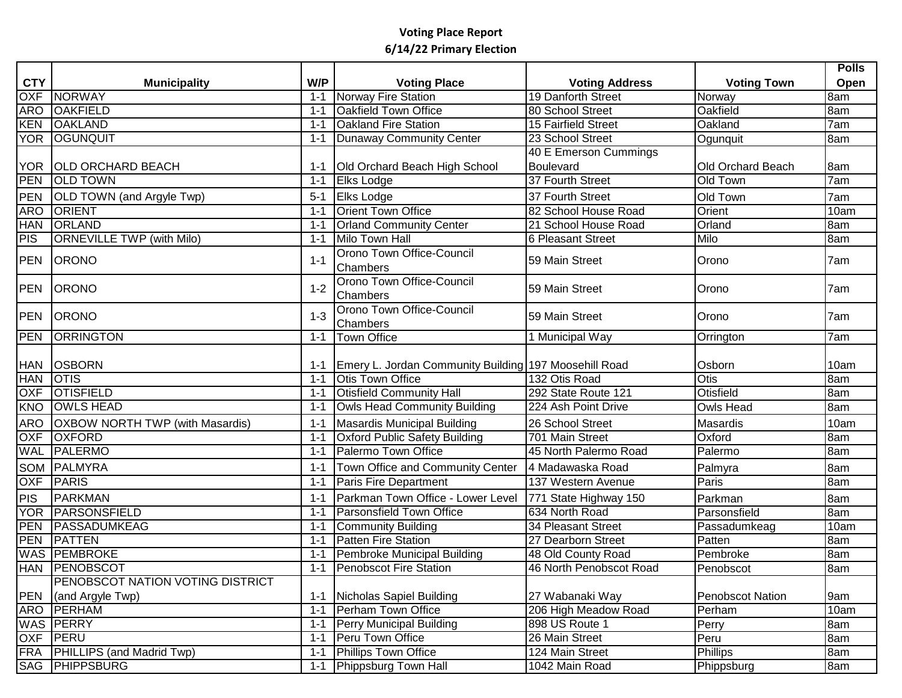|            |                                         |         |                                                       |                          |                          | <b>Polls</b> |
|------------|-----------------------------------------|---------|-------------------------------------------------------|--------------------------|--------------------------|--------------|
| <b>CTY</b> | <b>Municipality</b>                     | W/P     | <b>Voting Place</b>                                   | <b>Voting Address</b>    | <b>Voting Town</b>       | Open         |
| <b>OXF</b> | <b>NORWAY</b>                           | $1 - 1$ | Norway Fire Station                                   | 19 Danforth Street       | Norway                   | 8am          |
| <b>ARO</b> | <b>OAKFIELD</b>                         | $1 - 1$ | Oakfield Town Office                                  | 80 School Street         | Oakfield                 | 8am          |
| KEN        | <b>OAKLAND</b>                          | $1 - 1$ | <b>Oakland Fire Station</b>                           | 15 Fairfield Street      | Oakland                  | 7am          |
|            | YOR OGUNQUIT                            | $1 - 1$ | Dunaway Community Center                              | 23 School Street         | Ogunquit                 | 8am          |
|            |                                         |         |                                                       | 40 E Emerson Cummings    |                          |              |
|            | YOR OLD ORCHARD BEACH                   | 1-1     | Old Orchard Beach High School                         | Boulevard                | <b>Old Orchard Beach</b> | 8am          |
| PEN        | <b>OLD TOWN</b>                         | $1 - 1$ | <b>Elks Lodge</b>                                     | 37 Fourth Street         | Old Town                 | 7am          |
| PEN        | OLD TOWN (and Argyle Twp)               | $5 - 1$ | Elks Lodge                                            | 37 Fourth Street         | Old Town                 | 7am          |
| <b>ARO</b> | <b>ORIENT</b>                           | $1 - 1$ | <b>Orient Town Office</b>                             | 82 School House Road     | Orient                   | 10am         |
| <b>HAN</b> | <b>ORLAND</b>                           | $1 - 1$ | <b>Orland Community Center</b>                        | 21 School House Road     | Orland                   | 8am          |
| PIS        | <b>ORNEVILLE TWP (with Milo)</b>        | $1 - 1$ | Milo Town Hall                                        | <b>6 Pleasant Street</b> | Milo                     | 8am          |
| <b>PEN</b> | <b>ORONO</b>                            | $1 - 1$ | Orono Town Office-Council<br>Chambers                 | 59 Main Street           | Orono                    | 7am          |
| <b>PEN</b> | <b>ORONO</b>                            | $1 - 2$ | Orono Town Office-Council<br>Chambers                 | 59 Main Street           | Orono                    | 7am          |
| <b>PEN</b> | <b>ORONO</b>                            | $1 - 3$ | Orono Town Office-Council<br>Chambers                 | 59 Main Street           | Orono                    | 7am          |
| PEN        | <b>ORRINGTON</b>                        | $1 - 1$ | <b>Town Office</b>                                    | 1 Municipal Way          | Orrington                | 7am          |
|            |                                         |         |                                                       |                          |                          |              |
|            | HAN OSBORN                              | $1 - 1$ | Emery L. Jordan Community Building 197 Moosehill Road |                          | Osborn                   | 10am         |
| HAN OTIS   |                                         | $1 - 1$ | <b>Otis Town Office</b>                               | 132 Otis Road            | Otis                     | 8am          |
| <b>OXF</b> | <b>OTISFIELD</b>                        | $1 - 1$ | <b>Otisfield Community Hall</b>                       | 292 State Route 121      | Otisfield                | 8am          |
| KNO        | <b>OWLS HEAD</b>                        | $1 - 1$ | Owls Head Community Building                          | 224 Ash Point Drive      | <b>Owls Head</b>         | 8am          |
| <b>ARO</b> | <b>OXBOW NORTH TWP (with Masardis)</b>  | $1 - 1$ | Masardis Municipal Building                           | 26 School Street         | Masardis                 | 10am         |
| OXF        | <b>OXFORD</b>                           | $1 - 1$ | <b>Oxford Public Safety Building</b>                  | 701 Main Street          | Oxford                   | 8am          |
|            | <b>WAL PALERMO</b>                      | $1 - 1$ | Palermo Town Office                                   | 45 North Palermo Road    | Palermo                  | 8am          |
|            | SOM PALMYRA                             | $1 - 1$ | Town Office and Community Center                      | 4 Madawaska Road         | Palmyra                  | 8am          |
| <b>OXF</b> | PARIS                                   | $1 - 1$ | Paris Fire Department                                 | 137 Western Avenue       | Paris                    | 8am          |
| <b>PIS</b> | PARKMAN                                 | $1 - 1$ | Parkman Town Office - Lower Level                     | 771 State Highway 150    | Parkman                  | 8am          |
|            | YOR PARSONSFIELD                        | $1 - 1$ | Parsonsfield Town Office                              | 634 North Road           | Parsonsfield             | 8am          |
| <b>PEN</b> | PASSADUMKEAG                            | $1 - 1$ | Community Building                                    | 34 Pleasant Street       | Passadumkeag             | 10am         |
| PEN        | <b>PATTEN</b>                           | $1 - 1$ | <b>Patten Fire Station</b>                            | 27 Dearborn Street       | Patten                   | 8am          |
|            | <b>WAS PEMBROKE</b>                     | $1 - 1$ | <b>Pembroke Municipal Building</b>                    | 48 Old County Road       | Pembroke                 | 8am          |
|            | <b>HAN PENOBSCOT</b>                    |         | 1-1 Penobscot Fire Station                            | 46 North Penobscot Road  | Penobscot                | 8am          |
|            | <b>PENOBSCOT NATION VOTING DISTRICT</b> |         |                                                       |                          |                          |              |
|            | (and Argyle Twp)                        | $1 - 1$ | Nicholas Sapiel Building                              | 27 Wabanaki Way          | <b>Penobscot Nation</b>  | 9am          |
|            | PEN (and Argyl<br>ARO PERHAM            | $1 - 1$ | Perham Town Office                                    | 206 High Meadow Road     | Perham                   | 10am         |
|            | <b>WAS PERRY</b>                        | $1 - 1$ | <b>Perry Municipal Building</b>                       | 898 US Route 1           | Perry                    | 8am          |
|            | OXF PERU                                | $1 - 1$ | Peru Town Office                                      | 26 Main Street           | Peru                     | 8am          |
|            | FRA PHILLIPS (and Madrid Twp)           | $1 - 1$ | <b>Phillips Town Office</b>                           | 124 Main Street          | <b>Phillips</b>          | 8am          |
|            | <b>SAG PHIPPSBURG</b>                   | $1 - 1$ | Phippsburg Town Hall                                  | 1042 Main Road           | Phippsburg               | 8am          |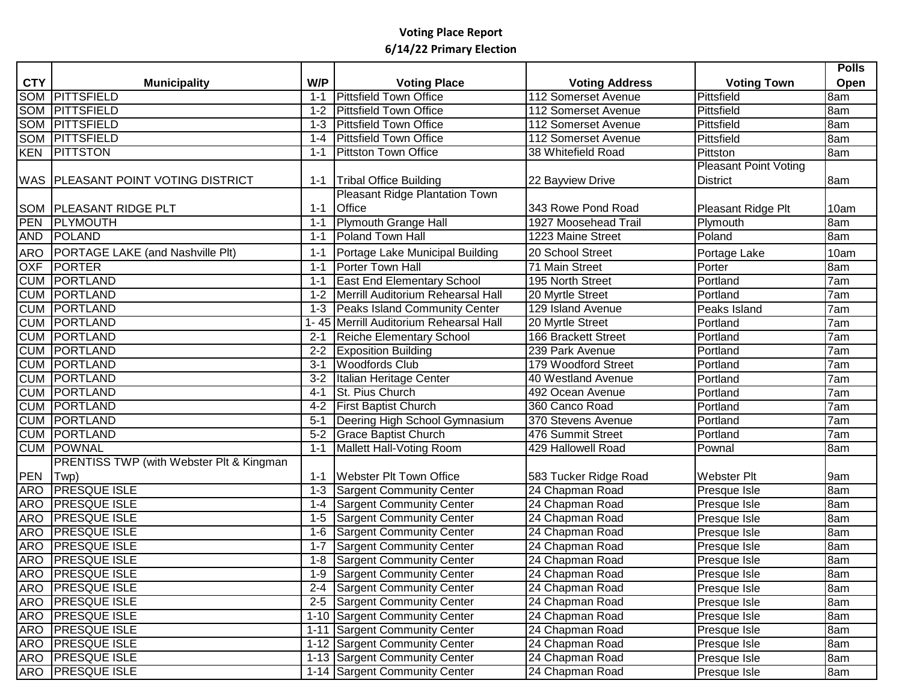|            |                                                     |         |                                        |                       |                              | <b>Polls</b> |
|------------|-----------------------------------------------------|---------|----------------------------------------|-----------------------|------------------------------|--------------|
| <b>CTY</b> | <b>Municipality</b>                                 | W/P     | <b>Voting Place</b>                    | <b>Voting Address</b> | <b>Voting Town</b>           | Open         |
|            | SOM PITTSFIELD                                      | $1 - 1$ | <b>Pittsfield Town Office</b>          | 112 Somerset Avenue   | Pittsfield                   | 8am          |
|            | <b>SOM PITTSFIELD</b>                               | $1 - 2$ | Pittsfield Town Office                 | 112 Somerset Avenue   | Pittsfield                   | 8am          |
|            | <b>SOM PITTSFIELD</b>                               | $1 - 3$ | Pittsfield Town Office                 | 112 Somerset Avenue   | Pittsfield                   | 8am          |
|            | <b>SOM PITTSFIELD</b>                               | 1-4     | Pittsfield Town Office                 | 112 Somerset Avenue   | Pittsfield                   | 8am          |
|            | <b>KEN PITTSTON</b>                                 | 1-1     | Pittston Town Office                   | 38 Whitefield Road    | Pittston                     | 8am          |
|            |                                                     |         |                                        |                       | <b>Pleasant Point Voting</b> |              |
|            | <b>WAS PLEASANT POINT VOTING DISTRICT</b>           | 1-1     | <b>Tribal Office Building</b>          | 22 Bayview Drive      | <b>District</b>              | 8am          |
|            |                                                     |         | Pleasant Ridge Plantation Town         |                       |                              |              |
|            | <b>SOM   PLEASANT RIDGE PLT</b>                     | $1 - 1$ | <b>Office</b>                          | 343 Rowe Pond Road    | Pleasant Ridge Plt           | 10am         |
| <b>PEN</b> | <b>TPLYMOUTH</b>                                    | $1 - 1$ | Plymouth Grange Hall                   | 1927 Moosehead Trail  | Plymouth                     | 8am          |
| AND        | POLAND                                              | $1 - 1$ | <b>Poland Town Hall</b>                | 1223 Maine Street     | Poland                       | 8am          |
| ARO        | <b>PORTAGE LAKE (and Nashville Plt)</b>             | $1 - 1$ | Portage Lake Municipal Building        | 20 School Street      | Portage Lake                 | 10am         |
| <b>OXF</b> | PORTER                                              | $1 - 1$ | Porter Town Hall                       | 71 Main Street        | Porter                       | 8am          |
|            | <b>CUM PORTLAND</b>                                 | $1 - 1$ | <b>East End Elementary School</b>      | 195 North Street      | Portland                     | 7am          |
|            | <b>CUM PORTLAND</b>                                 | $1 - 2$ | Merrill Auditorium Rehearsal Hall      | 20 Myrtle Street      | Portland                     | 7am          |
|            | <b>CUM PORTLAND</b>                                 | $1 - 3$ | <b>Peaks Island Community Center</b>   | 129 Island Avenue     | Peaks Island                 | 7am          |
|            | <b>CUM PORTLAND</b>                                 |         | 1-45 Merrill Auditorium Rehearsal Hall | 20 Myrtle Street      | Portland                     | 7am          |
|            | <b>CUM PORTLAND</b>                                 | $2 - 1$ | <b>Reiche Elementary School</b>        | 166 Brackett Street   | Portland                     | 7am          |
|            | <b>CUM PORTLAND</b>                                 | $2 - 2$ | <b>Exposition Building</b>             | 239 Park Avenue       | Portland                     | 7am          |
|            | <b>CUM PORTLAND</b>                                 | $3 - 1$ | <b>Woodfords Club</b>                  | 179 Woodford Street   | Portland                     | 7am          |
|            | <b>CUM PORTLAND</b>                                 | $3 - 2$ | Italian Heritage Center                | 40 Westland Avenue    | Portland                     | 7am          |
|            | <b>CUM PORTLAND</b>                                 | $4 - 1$ | St. Pius Church                        | 492 Ocean Avenue      | Portland                     | 7am          |
|            | <b>CUM PORTLAND</b>                                 | $4 - 2$ | <b>First Baptist Church</b>            | 360 Canco Road        | Portland                     | 7am          |
|            | <b>CUM PORTLAND</b>                                 | $5 - 1$ | Deering High School Gymnasium          | 370 Stevens Avenue    | Portland                     | 7am          |
|            | <b>CUM PORTLAND</b>                                 | $5-2$   | <b>Grace Baptist Church</b>            | 476 Summit Street     | Portland                     | 7am          |
|            | <b>CUM POWNAL</b>                                   | $1 - 1$ | Mallett Hall-Voting Room               | 429 Hallowell Road    | Pownal                       | 8am          |
|            | <b>PRENTISS TWP (with Webster Plt &amp; Kingman</b> |         |                                        |                       |                              |              |
| <b>PEN</b> | $ Twp\rangle$                                       | $1 - 1$ | <b>Webster Plt Town Office</b>         | 583 Tucker Ridge Road | Webster Plt                  | 9am          |
|            | <b>ARO PRESQUE ISLE</b>                             | $1 - 3$ | <b>Sargent Community Center</b>        | 24 Chapman Road       | Presque Isle                 | 8am          |
|            | ARO <b>PRESQUE ISLE</b>                             | $1 - 4$ | Sargent Community Center               | 24 Chapman Road       | Presque Isle                 | 8am          |
|            | <b>ARO PRESQUE ISLE</b>                             | $1 - 5$ | Sargent Community Center               | 24 Chapman Road       | Presque Isle                 | 8am          |
|            | ARO <b>PRESQUE ISLE</b>                             | $1 - 6$ | <b>Sargent Community Center</b>        | 24 Chapman Road       | Presque Isle                 | 8am          |
|            | ARO <b>PRESQUE ISLE</b>                             | $1 - 7$ | Sargent Community Center               | 24 Chapman Road       | Presque Isle                 | 8am          |
|            | <b>ARO PRESQUE ISLE</b>                             |         | 1-8 Sargent Community Center           | 24 Chapman Road       | Presque Isle                 | 8am          |
|            | ARO PRESQUE ISLE                                    |         | 1-9 Sargent Community Center           | 24 Chapman Road       | Presque Isle                 | 8am          |
|            | ARO PRESQUE ISLE                                    |         | 2-4 Sargent Community Center           | 24 Chapman Road       | Presque Isle                 | 8am          |
|            | ARO PRESQUE ISLE                                    |         | 2-5 Sargent Community Center           | 24 Chapman Road       | Presque Isle                 | 8am          |
|            | ARO PRESQUE ISLE                                    |         | 1-10 Sargent Community Center          | 24 Chapman Road       | Presque Isle                 | 8am          |
|            | ARO PRESQUE ISLE                                    |         | 1-11 Sargent Community Center          | 24 Chapman Road       | Presque Isle                 | 8am          |
|            | ARO PRESQUE ISLE                                    |         | 1-12 Sargent Community Center          | 24 Chapman Road       | Presque Isle                 | 8am          |
|            | ARO PRESQUE ISLE                                    |         | 1-13 Sargent Community Center          | 24 Chapman Road       | Presque Isle                 | 8am          |
|            | ARO <b>PRESQUE ISLE</b>                             |         | 1-14 Sargent Community Center          | 24 Chapman Road       | Presque Isle                 | 8am          |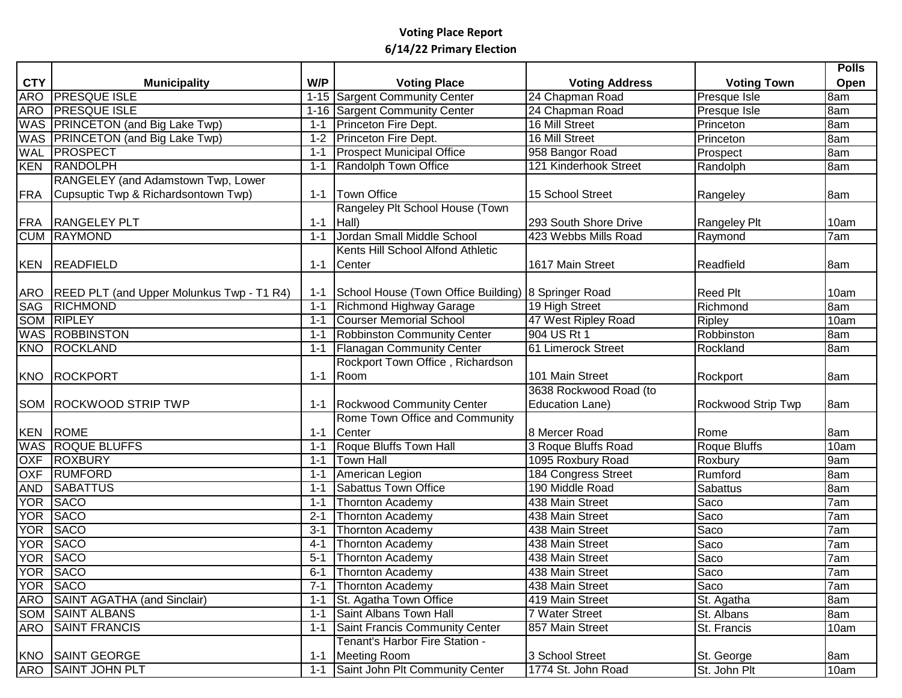|            |                                               |         |                                                     |                            |                    | <b>Polls</b> |
|------------|-----------------------------------------------|---------|-----------------------------------------------------|----------------------------|--------------------|--------------|
| <b>CTY</b> | <b>Municipality</b>                           | W/P     | <b>Voting Place</b>                                 | <b>Voting Address</b>      | <b>Voting Town</b> | Open         |
| <b>ARO</b> | <b>PRESQUE ISLE</b>                           |         | 1-15 Sargent Community Center                       | 24 Chapman Road            | Presque Isle       | 8am          |
|            | <b>ARO PRESQUE ISLE</b>                       |         | 1-16 Sargent Community Center                       | 24 Chapman Road            | Presque Isle       | 8am          |
|            | WAS PRINCETON (and Big Lake Twp)              | $1 - 1$ | Princeton Fire Dept.                                | 16 Mill Street             | Princeton          | 8am          |
|            | WAS PRINCETON (and Big Lake Twp)              | $1 - 2$ | Princeton Fire Dept.                                | 16 Mill Street             | Princeton          | 8am          |
|            | <b>WAL PROSPECT</b>                           | $1 - 1$ | <b>Prospect Municipal Office</b>                    | 958 Bangor Road            | Prospect           | 8am          |
| <b>KEN</b> | RANDOLPH                                      | $1 - 1$ | Randolph Town Office                                | 121 Kinderhook Street      | Randolph           | 8am          |
|            | RANGELEY (and Adamstown Twp, Lower            |         |                                                     |                            |                    |              |
| <b>FRA</b> | Cupsuptic Twp & Richardsontown Twp)           | $1 - 1$ | Town Office                                         | 15 School Street           | Rangeley           | 8am          |
|            |                                               |         | Rangeley Plt School House (Town                     |                            |                    |              |
|            | FRA RANGELEY PLT                              | $1 - 1$ | Hall)                                               | 293 South Shore Drive      | Rangeley Plt       | 10am         |
|            | <b>CUM RAYMOND</b>                            | $1 - 1$ | Jordan Small Middle School                          | 423 Webbs Mills Road       | Raymond            | 7am          |
|            |                                               |         | Kents Hill School Alfond Athletic                   |                            |                    |              |
|            | KEN READFIELD                                 | $1 - 1$ | Center                                              | 1617 Main Street           | Readfield          | 8am          |
|            |                                               |         |                                                     |                            |                    |              |
|            | ARO REED PLT (and Upper Molunkus Twp - T1 R4) | $1 - 1$ | School House (Town Office Building) 8 Springer Road |                            | <b>Reed Plt</b>    | 10am         |
| SAG        | RICHMOND                                      | $1 - 1$ | Richmond Highway Garage                             | 19 High Street             | Richmond           | 8am          |
|            | <b>SOM RIPLEY</b>                             | $1 - 1$ | <b>Courser Memorial School</b>                      | 47 West Ripley Road        | Ripley             | 10am         |
|            | <b>WAS ROBBINSTON</b>                         | $1 - 1$ | <b>Robbinston Community Center</b>                  | 904 US Rt 1                | Robbinston         | 8am          |
|            | KNO ROCKLAND                                  | $1 - 1$ | <b>Flanagan Community Center</b>                    | 61 Limerock Street         | Rockland           | 8am          |
|            |                                               |         | Rockport Town Office, Richardson                    |                            |                    |              |
|            | KNO ROCKPORT                                  | $1 - 1$ | Room                                                | 101 Main Street            | Rockport           | 8am          |
|            |                                               |         |                                                     | 3638 Rockwood Road (to     |                    |              |
|            | <b>SOM ROCKWOOD STRIP TWP</b>                 |         | 1-1 Rockwood Community Center                       | <b>Education Lane)</b>     | Rockwood Strip Twp | 8am          |
|            |                                               |         | Rome Town Office and Community                      |                            |                    |              |
|            | <b>KEN ROME</b>                               | $1 - 1$ | Center                                              | 8 Mercer Road              | Rome               | 8am          |
|            | <b>WAS ROQUE BLUFFS</b>                       | $1 - 1$ | Roque Bluffs Town Hall                              | 3 Roque Bluffs Road        | Roque Bluffs       | 10am         |
|            | OXF ROXBURY                                   | $1 - 1$ | <b>Town Hall</b>                                    | 1095 Roxbury Road          | Roxbury            | 9am          |
| <b>OXF</b> | RUMFORD                                       | $1 - 1$ | American Legion                                     | <b>184 Congress Street</b> | Rumford            | 8am          |
|            | AND SABATTUS                                  | $1 - 1$ | <b>Sabattus Town Office</b>                         | 190 Middle Road            | <b>Sabattus</b>    | 8am          |
|            | YOR SACO                                      | $1 - 1$ | Thornton Academy                                    | 438 Main Street            | Saco               | 7am          |
|            | YOR SACO                                      | $2 - 1$ | Thornton Academy                                    | 438 Main Street            | Saco               | 7am          |
|            | YOR SACO                                      | $3 - 1$ | Thornton Academy                                    | 438 Main Street            | Saco               | 7am          |
|            | YOR SACO                                      | $4 - 1$ | Thornton Academy                                    | 438 Main Street            | Saco               | 7am          |
|            | YOR SACO                                      | $5 - 1$ | <b>Thornton Academy</b>                             | 438 Main Street            | Saco               | 7am          |
|            | YOR SACO                                      |         | 6-1 Thornton Academy                                | 438 Main Street            | Saco               | 7am          |
|            | YOR SACO                                      |         | 7-1 Thornton Academy                                | 438 Main Street            | Saco               | 7am          |
|            | <b>ARO</b> SAINT AGATHA (and Sinclair)        |         | 1-1 St. Agatha Town Office                          | 419 Main Street            | St. Agatha         | 8am          |
|            | <b>SOM SAINT ALBANS</b>                       |         | 1-1 Saint Albans Town Hall                          | 7 Water Street             | St. Albans         | 8am          |
|            | ARO SAINT FRANCIS                             | $1 - 1$ | Saint Francis Community Center                      | 857 Main Street            | St. Francis        | 10am         |
|            |                                               |         | Tenant's Harbor Fire Station -                      |                            |                    |              |
|            | KNO SAINT GEORGE                              | $1 - 1$ | Meeting Room                                        | 3 School Street            | St. George         | 8am          |
|            | <b>ARO SAINT JOHN PLT</b>                     | $1 - 1$ | Saint John Plt Community Center                     | 1774 St. John Road         | St. John Plt       | 10am         |
|            |                                               |         |                                                     |                            |                    |              |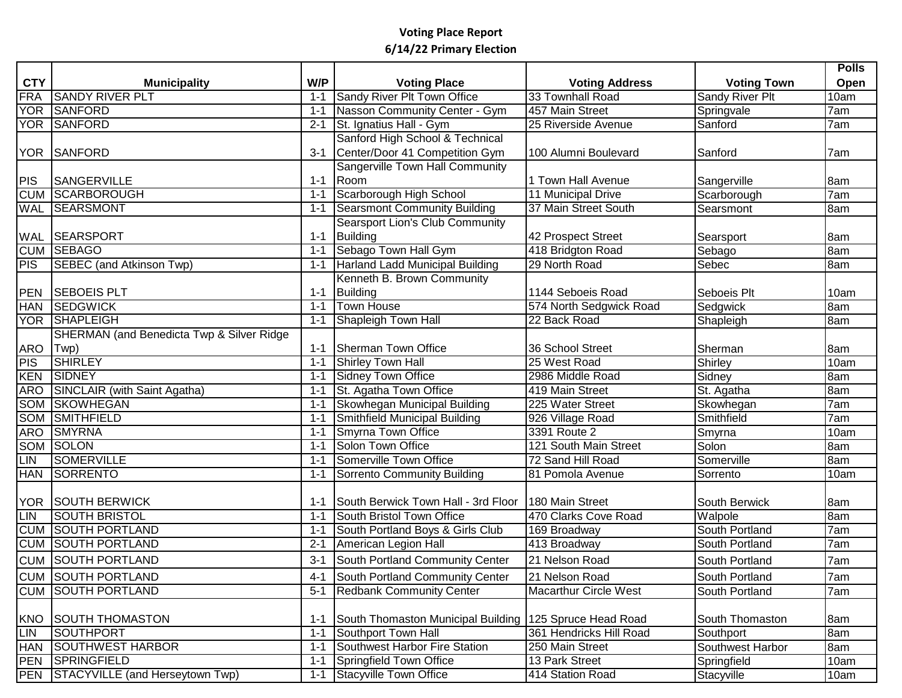|                                 |                                                                                                                   |         |                                                                                                                                                 |                                                                                                          |                                                                               | <b>Polls</b>                      |
|---------------------------------|-------------------------------------------------------------------------------------------------------------------|---------|-------------------------------------------------------------------------------------------------------------------------------------------------|----------------------------------------------------------------------------------------------------------|-------------------------------------------------------------------------------|-----------------------------------|
| <b>CTY</b>                      | <b>Municipality</b>                                                                                               | W/P     | <b>Voting Place</b>                                                                                                                             | <b>Voting Address</b>                                                                                    | <b>Voting Town</b>                                                            | Open                              |
| FRA                             | <b>SANDY RIVER PLT</b>                                                                                            | $1 - 1$ | Sandy River Plt Town Office                                                                                                                     | 33 Townhall Road                                                                                         | Sandy River Plt                                                               | 10am                              |
| <b>YOR</b>                      | SANFORD                                                                                                           | $1 - 1$ | Nasson Community Center - Gym                                                                                                                   | 457 Main Street                                                                                          | Springvale                                                                    | 7am                               |
|                                 | <b>YOR SANFORD</b>                                                                                                | $2 - 1$ | St. Ignatius Hall - Gym                                                                                                                         | 25 Riverside Avenue                                                                                      | Sanford                                                                       | 7am                               |
|                                 |                                                                                                                   |         | Sanford High School & Technical                                                                                                                 |                                                                                                          |                                                                               |                                   |
|                                 | YOR SANFORD                                                                                                       | $3 - 1$ | Center/Door 41 Competition Gym                                                                                                                  | 100 Alumni Boulevard                                                                                     | <b>Sanford</b>                                                                | 7am                               |
|                                 |                                                                                                                   |         | Sangerville Town Hall Community                                                                                                                 |                                                                                                          |                                                                               |                                   |
| <b>PIS</b>                      | <b>SANGERVILLE</b>                                                                                                | $1 - 1$ | Room                                                                                                                                            | 1 Town Hall Avenue                                                                                       | Sangerville                                                                   | 8am                               |
| <b>CUM</b>                      | <b>SCARBOROUGH</b>                                                                                                | $1 - 1$ | Scarborough High School                                                                                                                         | 11 Municipal Drive                                                                                       | Scarborough                                                                   | 7am                               |
| <b>WAL</b>                      | <b>SEARSMONT</b>                                                                                                  | $1 - 1$ | Searsmont Community Building                                                                                                                    | 37 Main Street South                                                                                     | Searsmont                                                                     | 8am                               |
|                                 |                                                                                                                   |         | <b>Searsport Lion's Club Community</b>                                                                                                          |                                                                                                          |                                                                               |                                   |
|                                 | <b>WAL SEARSPORT</b>                                                                                              | $1 - 1$ | Building                                                                                                                                        | 42 Prospect Street                                                                                       | Searsport                                                                     | 8am                               |
|                                 | <b>CUM SEBAGO</b>                                                                                                 | $1 - 1$ | Sebago Town Hall Gym                                                                                                                            | 418 Bridgton Road                                                                                        | Sebago                                                                        | 8am                               |
| <b>PIS</b>                      | SEBEC (and Atkinson Twp)                                                                                          | $1 - 1$ | Harland Ladd Municipal Building                                                                                                                 | 29 North Road                                                                                            | Sebec                                                                         | 8am                               |
|                                 |                                                                                                                   |         | Kenneth B. Brown Community                                                                                                                      |                                                                                                          |                                                                               |                                   |
| <b>PEN</b>                      | <b>SEBOEIS PLT</b>                                                                                                | $1 - 1$ | Building                                                                                                                                        | 1144 Seboeis Road                                                                                        | Seboeis Plt                                                                   | 10am                              |
| <b>HAN</b>                      | <b>SEDGWICK</b>                                                                                                   | $1 - 1$ | <b>Town House</b>                                                                                                                               | 574 North Sedgwick Road                                                                                  | Sedgwick                                                                      | 8am                               |
|                                 | YOR SHAPLEIGH                                                                                                     | $1 - 1$ | Shapleigh Town Hall                                                                                                                             | 22 Back Road                                                                                             | Shapleigh                                                                     | 8am                               |
|                                 | <b>SHERMAN</b> (and Benedicta Twp & Silver Ridge                                                                  |         |                                                                                                                                                 |                                                                                                          |                                                                               |                                   |
| <b>ARO</b>                      | $ Twp\rangle$                                                                                                     | $1 - 1$ | Sherman Town Office                                                                                                                             | 36 School Street                                                                                         | Sherman                                                                       | 8am                               |
| <b>PIS</b>                      | <b>SHIRLEY</b>                                                                                                    | $1 - 1$ | Shirley Town Hall                                                                                                                               | 25 West Road                                                                                             | Shirley                                                                       | 10am                              |
| <b>KEN</b>                      | SIDNEY                                                                                                            | $1 - 1$ | Sidney Town Office                                                                                                                              | 2986 Middle Road                                                                                         | Sidney                                                                        | 8am                               |
| <b>ARO</b>                      | SINCLAIR (with Saint Agatha)                                                                                      | $1 - 1$ | St. Agatha Town Office                                                                                                                          | 419 Main Street                                                                                          | St. Agatha                                                                    | 8am                               |
| SOM                             | <b>SKOWHEGAN</b>                                                                                                  | $1 - 1$ | Skowhegan Municipal Building                                                                                                                    | 225 Water Street                                                                                         | Skowhegan                                                                     | 7am                               |
| SOM                             | SMITHFIELD                                                                                                        | $1 - 1$ | Smithfield Municipal Building                                                                                                                   | 926 Village Road                                                                                         | Smithfield                                                                    | 7am                               |
| <b>ARO</b>                      | <b>SMYRNA</b>                                                                                                     | $1 - 1$ | <b>Smyrna Town Office</b>                                                                                                                       | 3391 Route 2                                                                                             | Smyrna                                                                        | 10am                              |
| SOM                             | SOLON                                                                                                             | $1 - 1$ | Solon Town Office                                                                                                                               | 121 South Main Street                                                                                    | Solon                                                                         | 8am                               |
| LIN                             | <b>SOMERVILLE</b>                                                                                                 | $1 - 1$ | Somerville Town Office                                                                                                                          | 72 Sand Hill Road                                                                                        | Somerville                                                                    | 8am                               |
| <b>HAN</b>                      | SORRENTO                                                                                                          | $1 - 1$ | Sorrento Community Building                                                                                                                     | 81 Pomola Avenue                                                                                         | Sorrento                                                                      | 10am                              |
|                                 |                                                                                                                   |         |                                                                                                                                                 |                                                                                                          |                                                                               |                                   |
| <b>YOR</b>                      | <b>SOUTH BERWICK</b>                                                                                              | 1-1     | South Berwick Town Hall - 3rd Floor                                                                                                             | 180 Main Street                                                                                          | South Berwick                                                                 | 8am                               |
| LIN                             | <b>SOUTH BRISTOL</b>                                                                                              | $1 - 1$ | South Bristol Town Office                                                                                                                       | 470 Clarks Cove Road                                                                                     | Walpole                                                                       | 8am                               |
| <b>CUM</b>                      | <b>SOUTH PORTLAND</b>                                                                                             | $1 - 1$ | South Portland Boys & Girls Club                                                                                                                | 169 Broadway                                                                                             | South Portland                                                                | 7am                               |
| <b>CUM</b>                      | <b>SOUTH PORTLAND</b>                                                                                             | $2 - 1$ | American Legion Hall                                                                                                                            | 413 Broadway                                                                                             | South Portland                                                                | 7am                               |
|                                 | <b>CUM SOUTH PORTLAND</b>                                                                                         | $3 - 1$ | South Portland Community Center                                                                                                                 | 21 Nelson Road                                                                                           | South Portland                                                                | 7am                               |
|                                 | CUM SOUTH PORTLAND                                                                                                | $4 - 1$ | South Portland Community Center                                                                                                                 | 21 Nelson Road                                                                                           | South Portland                                                                | 7am                               |
|                                 | <b>CUM SOUTH PORTLAND</b>                                                                                         | $5 - 1$ | <b>Redbank Community Center</b>                                                                                                                 | Macarthur Circle West                                                                                    | South Portland                                                                | 7am                               |
|                                 |                                                                                                                   |         |                                                                                                                                                 |                                                                                                          |                                                                               |                                   |
|                                 |                                                                                                                   | $1 - 1$ |                                                                                                                                                 |                                                                                                          |                                                                               |                                   |
|                                 |                                                                                                                   | $1 - 1$ |                                                                                                                                                 |                                                                                                          |                                                                               |                                   |
|                                 |                                                                                                                   | $1 - 1$ |                                                                                                                                                 |                                                                                                          |                                                                               |                                   |
|                                 |                                                                                                                   |         |                                                                                                                                                 |                                                                                                          |                                                                               |                                   |
|                                 |                                                                                                                   | $1 - 1$ |                                                                                                                                                 |                                                                                                          |                                                                               |                                   |
| <b>KNO</b><br>LIN<br><b>HAN</b> | <b>SOUTH THOMASTON</b><br>SOUTHPORT<br>SOUTHWEST HARBOR<br>PEN SPRINGFIELD<br>PEN STACYVILLE (and Herseytown Twp) | $1 - 1$ | South Thomaston Municipal Building<br>Southport Town Hall<br>Southwest Harbor Fire Station<br>Springfield Town Office<br>Stacyville Town Office | 125 Spruce Head Road<br>361 Hendricks Hill Road<br>250 Main Street<br>13 Park Street<br>414 Station Road | South Thomaston<br>Southport<br>Southwest Harbor<br>Springfield<br>Stacyville | 8am<br>8am<br>8am<br>10am<br>10am |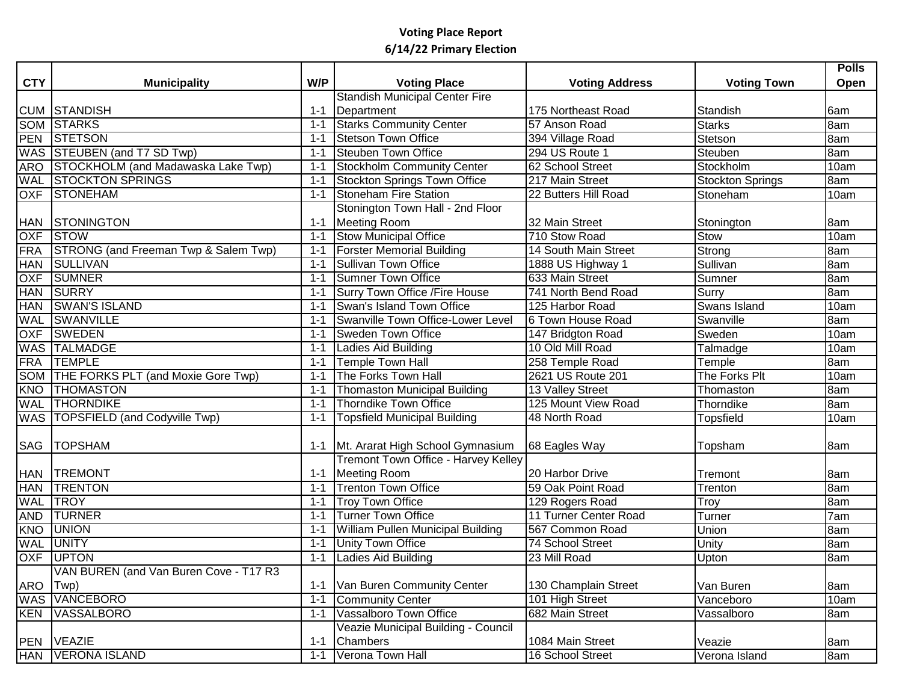|            |                                        |         |                                          |                         |                    | <b>Polls</b>      |
|------------|----------------------------------------|---------|------------------------------------------|-------------------------|--------------------|-------------------|
| <b>CTY</b> | <b>Municipality</b>                    | W/P     | <b>Voting Place</b>                      | <b>Voting Address</b>   | <b>Voting Town</b> | Open              |
|            |                                        |         | <b>Standish Municipal Center Fire</b>    |                         |                    |                   |
|            | <b>CUM STANDISH</b>                    | $1 - 1$ | Department                               | 175 Northeast Road      | Standish           | 6am               |
|            | <b>SOM STARKS</b>                      | $1 - 1$ | <b>Starks Community Center</b>           | 57 Anson Road           | <b>Starks</b>      | 8am               |
| <b>PEN</b> | <b>STETSON</b>                         | $1 - 1$ | <b>Stetson Town Office</b>               | 394 Village Road        | Stetson            | 8am               |
|            | WAS STEUBEN (and T7 SD Twp)            | $1 - 1$ | <b>Steuben Town Office</b>               | 294 US Route 1          | Steuben            | 8am               |
| ARO        | STOCKHOLM (and Madawaska Lake Twp)     | $1 - 1$ | <b>Stockholm Community Center</b>        | 62 School Street        | Stockholm          | 10am              |
| <b>WAL</b> | <b>STOCKTON SPRINGS</b>                | $1 - 1$ | <b>Stockton Springs Town Office</b>      | 217 Main Street         | Stockton Springs   | 8am               |
|            | OXF STONEHAM                           | $1 - 1$ | <b>Stoneham Fire Station</b>             | 22 Butters Hill Road    | Stoneham           | 10am              |
|            |                                        |         | Stonington Town Hall - 2nd Floor         |                         |                    |                   |
| <b>HAN</b> | STONINGTON                             | $1 - 1$ | Meeting Room                             | 32 Main Street          | Stonington         | 8am               |
| <b>OXF</b> | <b>STOW</b>                            | $1 - 1$ | <b>Stow Municipal Office</b>             | 710 Stow Road           | Stow               | 10am              |
| <b>FRA</b> | STRONG (and Freeman Twp & Salem Twp)   | $1 - 1$ | <b>Forster Memorial Building</b>         | 14 South Main Street    | Strong             | 8am               |
| <b>HAN</b> | <b>SULLIVAN</b>                        | $1 - 1$ | <b>Sullivan Town Office</b>              | 1888 US Highway 1       | Sullivan           | 8am               |
| <b>OXF</b> | <b>SUMNER</b>                          | $1 - 1$ | <b>Sumner Town Office</b>                | 633 Main Street         | Sumner             | 8am               |
| <b>HAN</b> | SURRY                                  | $1 - 1$ | Surry Town Office / Fire House           | 741 North Bend Road     | Surry              | 8am               |
| <b>HAN</b> | <b>SWAN'S ISLAND</b>                   | $1 - 1$ | Swan's Island Town Office                | 125 Harbor Road         | Swans Island       | 10am              |
| WAL        | <b>SWANVILLE</b>                       | $1 - 1$ | Swanville Town Office-Lower Level        | 6 Town House Road       | Swanville          | 8am               |
| <b>OXF</b> | <b>SWEDEN</b>                          | $1 - 1$ | <b>Sweden Town Office</b>                | 147 Bridgton Road       | Sweden             | 10am              |
| <b>WAS</b> | <b>TALMADGE</b>                        | $1 - 1$ | Ladies Aid Building                      | 10 Old Mill Road        | Talmadge           | 10am              |
| <b>FRA</b> | <b>TEMPLE</b>                          | $1 - 1$ | <b>Temple Town Hall</b>                  | 258 Temple Road         | Temple             | 8am               |
|            | SOM THE FORKS PLT (and Moxie Gore Twp) | $1 - 1$ | The Forks Town Hall                      | 2621 US Route 201       | The Forks Plt      | 10am              |
| KNO        | <b>THOMASTON</b>                       | $1 - 1$ | <b>Thomaston Municipal Building</b>      | <b>13 Valley Street</b> | Thomaston          | 8am               |
| WAL        | <b>THORNDIKE</b>                       | $1 - 1$ | <b>Thorndike Town Office</b>             | 125 Mount View Road     | Thorndike          | 8am               |
|            | WAS TOPSFIELD (and Codyville Twp)      | $1 - 1$ | <b>Topsfield Municipal Building</b>      | 48 North Road           | <b>Topsfield</b>   | 10am              |
|            |                                        |         |                                          |                         |                    |                   |
| SAG        | <b>TOPSHAM</b>                         | $1 - 1$ | Mt. Ararat High School Gymnasium         | 68 Eagles Way           | Topsham            | 8am               |
|            |                                        |         | Tremont Town Office - Harvey Kelley      |                         |                    |                   |
| <b>HAN</b> | <b>TREMONT</b>                         | $1 - 1$ | Meeting Room                             | 20 Harbor Drive         | Tremont            | 8am               |
| <b>HAN</b> | <b>TRENTON</b>                         | $1 - 1$ | <b>Trenton Town Office</b>               | 59 Oak Point Road       | Trenton            | 8am               |
| <b>WAL</b> | <b>TROY</b>                            | $1 - 1$ | <b>Troy Town Office</b>                  | 129 Rogers Road         | Troy               | 8am               |
| <b>AND</b> | <b>TURNER</b>                          | $1 - 1$ | <b>Turner Town Office</b>                | 11 Turner Center Road   | Turner             | 7am               |
| KNO        | <b>UNION</b>                           | $1 - 1$ | <b>William Pullen Municipal Building</b> | 567 Common Road         | <b>Union</b>       | 8am               |
| <b>WAL</b> | <b>UNITY</b>                           | $1 - 1$ | <b>Unity Town Office</b>                 | <b>74 School Street</b> | Unity              | 8am               |
| <b>OXF</b> | <b>UPTON</b>                           | $1 - 1$ | Ladies Aid Building                      | 23 Mill Road            | Upton              | 8am               |
|            | VAN BUREN (and Van Buren Cove - T17 R3 |         |                                          |                         |                    |                   |
| ARO Twp)   |                                        | 1-1     | Van Buren Community Center               | 130 Champlain Street    | Van Buren          | 8am               |
|            | <b>WAS VANCEBORO</b>                   | $1 - 1$ | Community Center                         | 101 High Street         | Vanceboro          | 10am              |
|            | <b>KEN VASSALBORO</b>                  | $1 - 1$ | Vassalboro Town Office                   | 682 Main Street         | Vassalboro         | 8am               |
|            |                                        |         | Veazie Municipal Building - Council      |                         |                    |                   |
|            | PEN VEAZIE                             | $1 - 1$ | <b>Chambers</b>                          | 1084 Main Street        | Veazie             | 8am               |
|            | HAN VERONA ISLAND                      | $1 - 1$ | Verona Town Hall                         | 16 School Street        | Verona Island      | $\overline{8}$ am |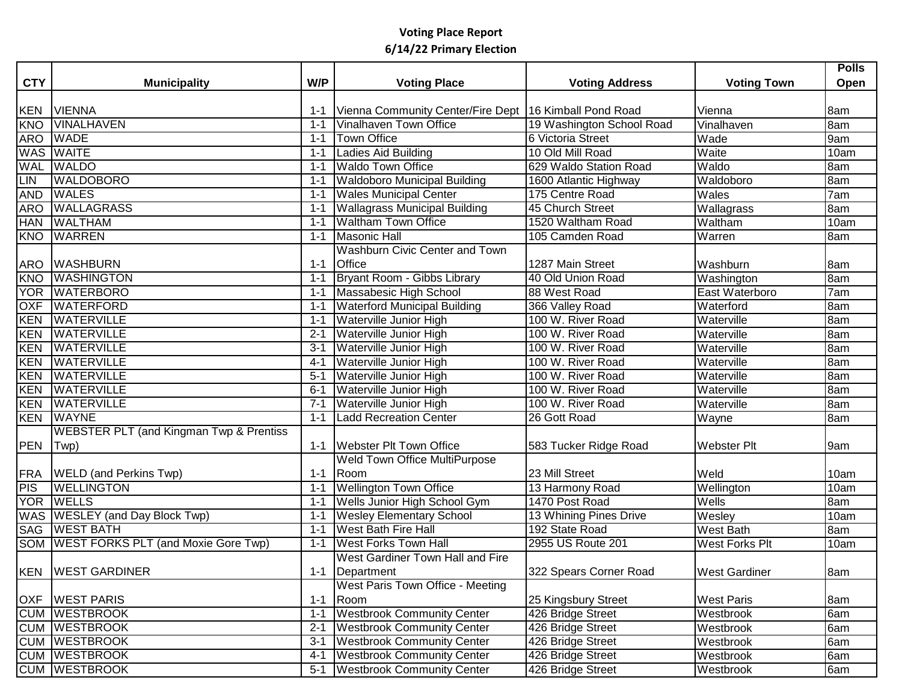|            |                                                    |         |                                                          |                           |                      | <b>Polls</b> |
|------------|----------------------------------------------------|---------|----------------------------------------------------------|---------------------------|----------------------|--------------|
| <b>CTY</b> | <b>Municipality</b>                                | W/P     | <b>Voting Place</b>                                      | <b>Voting Address</b>     | <b>Voting Town</b>   | Open         |
|            |                                                    |         |                                                          |                           |                      |              |
| <b>KEN</b> | <b>VIENNA</b>                                      | 1-1     | Vienna Community Center/Fire Dept   16 Kimball Pond Road |                           | Vienna               | 8am          |
| <b>KNO</b> | <b>VINALHAVEN</b>                                  | $1 - 1$ | Vinalhaven Town Office                                   | 19 Washington School Road | Vinalhaven           | 8am          |
|            | ARO WADE                                           | $1 - 1$ | <b>Town Office</b>                                       | 6 Victoria Street         | Wade                 | 9am          |
|            | WAS WAITE                                          | 1-1     | Ladies Aid Building                                      | 10 Old Mill Road          | Waite                | 10am         |
| <b>WAL</b> | <b>WALDO</b>                                       | $1 - 1$ | <b>Waldo Town Office</b>                                 | 629 Waldo Station Road    | Waldo                | 8am          |
| <b>LIN</b> | <b>WALDOBORO</b>                                   | $1 - 1$ | <b>Waldoboro Municipal Building</b>                      | 1600 Atlantic Highway     | Waldoboro            | 8am          |
| <b>AND</b> | <b>WALES</b>                                       | $1 - 1$ | <b>Wales Municipal Center</b>                            | 175 Centre Road           | Wales                | 7am          |
| <b>ARO</b> | <b>WALLAGRASS</b>                                  | $1 - 1$ | <b>Wallagrass Municipal Building</b>                     | 45 Church Street          | Wallagrass           | 8am          |
|            | HAN WALTHAM                                        | $1 - 1$ | <b>Waltham Town Office</b>                               | 1520 Waltham Road         | Waltham              | 10am         |
|            | <b>KNO WARREN</b>                                  | $1 - 1$ | <b>Masonic Hall</b>                                      | 105 Camden Road           | Warren               | 8am          |
|            |                                                    |         | Washburn Civic Center and Town                           |                           |                      |              |
|            | ARO WASHBURN                                       | $1 - 1$ | <b>Office</b>                                            | 1287 Main Street          | Washburn             | 8am          |
| <b>KNO</b> | <b>WASHINGTON</b>                                  | $1 - 1$ | Bryant Room - Gibbs Library                              | 40 Old Union Road         | Washington           | 8am          |
|            | YOR WATERBORO                                      | $1 - 1$ | Massabesic High School                                   | 88 West Road              | East Waterboro       | 7am          |
| OXF        | <b>WATERFORD</b>                                   | $1 - 1$ | <b>Waterford Municipal Building</b>                      | 366 Valley Road           | Waterford            | 8am          |
| KEN        | <b>WATERVILLE</b>                                  | $1 - 1$ | Waterville Junior High                                   | 100 W. River Road         | Waterville           | 8am          |
|            | <b>KEN WATERVILLE</b>                              | $2 - 1$ | Waterville Junior High                                   | 100 W. River Road         | Waterville           | 8am          |
| <b>KEN</b> | <b>WATERVILLE</b>                                  | $3 - 1$ | <b>Waterville Junior High</b>                            | 100 W. River Road         | Waterville           | 8am          |
| <b>KEN</b> | <b>WATERVILLE</b>                                  | $4 - 1$ | Waterville Junior High                                   | 100 W. River Road         | Waterville           | 8am          |
| <b>KEN</b> | <b>WATERVILLE</b>                                  | $5 - 1$ | Waterville Junior High                                   | 100 W. River Road         | Waterville           | 8am          |
| KEN        | <b>WATERVILLE</b>                                  | $6 - 1$ | <b>Waterville Junior High</b>                            | 100 W. River Road         | Waterville           | 8am          |
| KEN        | <b>WATERVILLE</b>                                  | $7 - 1$ | Waterville Junior High                                   | 100 W. River Road         | Waterville           | 8am          |
|            | <b>KEN WAYNE</b>                                   | $1 - 1$ | <b>Ladd Recreation Center</b>                            | 26 Gott Road              | Wayne                | 8am          |
|            | <b>WEBSTER PLT (and Kingman Twp &amp; Prentiss</b> |         |                                                          |                           |                      |              |
| PEN        | $ Twp\rangle$                                      | 1-1     | <b>Webster Plt Town Office</b>                           | 583 Tucker Ridge Road     | <b>Webster Plt</b>   | 9am          |
|            |                                                    |         | <b>Weld Town Office MultiPurpose</b>                     |                           |                      |              |
|            | <b>FRA</b> WELD (and Perkins Twp)                  | $1 - 1$ | Room                                                     | 23 Mill Street            | Weld                 | 10am         |
| PIS        | <b>WELLINGTON</b>                                  | $1 - 1$ | <b>Wellington Town Office</b>                            | 13 Harmony Road           | Wellington           | 10am         |
|            | YOR WELLS                                          | $1 - 1$ | <b>Wells Junior High School Gym</b>                      | 1470 Post Road            | Wells                | 8am          |
|            | WAS WESLEY (and Day Block Twp)                     | $1 - 1$ | <b>Wesley Elementary School</b>                          | 13 Whining Pines Drive    | Wesley               | 10am         |
|            | <b>SAG WEST BATH</b>                               | $1 - 1$ | <b>West Bath Fire Hall</b>                               | 192 State Road            | <b>West Bath</b>     | 8am          |
|            | SOM WEST FORKS PLT (and Moxie Gore Twp)            | $1 - 1$ | <b>West Forks Town Hall</b>                              | 2955 US Route 201         | West Forks Plt       | 10am         |
|            |                                                    |         | West Gardiner Town Hall and Fire                         |                           |                      |              |
|            | KEN   WEST GARDINER                                |         | 1-1   Department                                         | 322 Spears Corner Road    | <b>West Gardiner</b> | 8am          |
|            |                                                    |         | West Paris Town Office - Meeting                         |                           |                      |              |
|            | <b>OXF WEST PARIS</b>                              | $1 - 1$ | Room                                                     | 25 Kingsbury Street       | <b>West Paris</b>    | 8am          |
|            | <b>CUM WESTBROOK</b>                               | $1 - 1$ | <b>Westbrook Community Center</b>                        | 426 Bridge Street         | Westbrook            | 6am          |
|            | <b>CUM WESTBROOK</b>                               | $2 - 1$ | <b>Westbrook Community Center</b>                        | 426 Bridge Street         | Westbrook            | 6am          |
|            | <b>CUM WESTBROOK</b>                               | $3 - 1$ | <b>Westbrook Community Center</b>                        | 426 Bridge Street         | Westbrook            | 6am          |
|            | <b>CUM WESTBROOK</b>                               | $4 - 1$ | <b>Westbrook Community Center</b>                        | 426 Bridge Street         | Westbrook            | 6am          |
|            | <b>CUM WESTBROOK</b>                               |         | 5-1 Westbrook Community Center                           | 426 Bridge Street         | Westbrook            | 6am          |
|            |                                                    |         |                                                          |                           |                      |              |